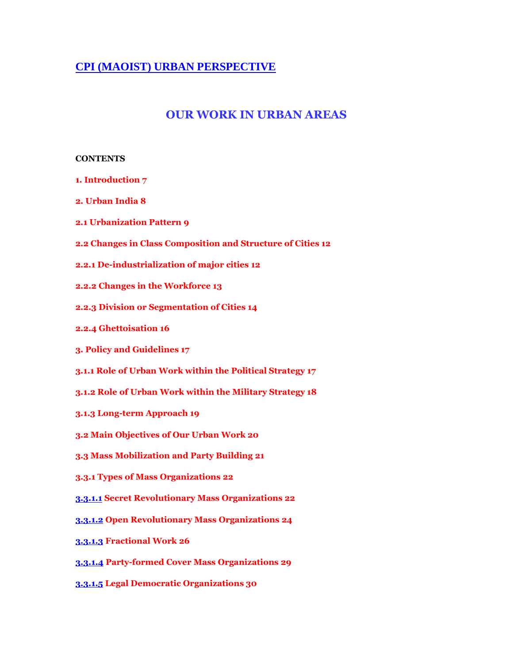# **[CPI \(MAOIST\) URBAN PERSPECTIVE](http://maoistresistance.blogspot.com/2007/10/cpi-maoist-urban-perspective.html)**

# **OUR WORK IN URBAN AREAS**

# **CONTENTS**

- **1. Introduction 7**
- **2. Urban India 8**
- **2.1 Urbanization Pattern 9**
- **2.2 Changes in Class Composition and Structure of Cities 12**
- **2.2.1 De-industrialization of major cities 12**
- **2.2.2 Changes in the Workforce 13**
- **2.2.3 Division or Segmentation of Cities 14**
- **2.2.4 Ghettoisation 16**
- **3. Policy and Guidelines 17**
- **3.1.1 Role of Urban Work within the Political Strategy 17**
- **3.1.2 Role of Urban Work within the Military Strategy 18**
- **3.1.3 Long-term Approach 19**
- **3.2 Main Objectives of Our Urban Work 20**
- **3.3 Mass Mobilization and Party Building 21**
- **3.3.1 Types of Mass Organizations 22**
- **[3.3.1.1](http://3.3.1.1/) Secret Revolutionary Mass Organizations 22**
- **[3.3.1.2](http://3.3.1.2/) Open Revolutionary Mass Organizations 24**
- **[3.3.1.3](http://3.3.1.3/) Fractional Work 26**
- **[3.3.1.4](http://3.3.1.4/) Party-formed Cover Mass Organizations 29**
- **[3.3.1.5](http://3.3.1.5/) Legal Democratic Organizations 30**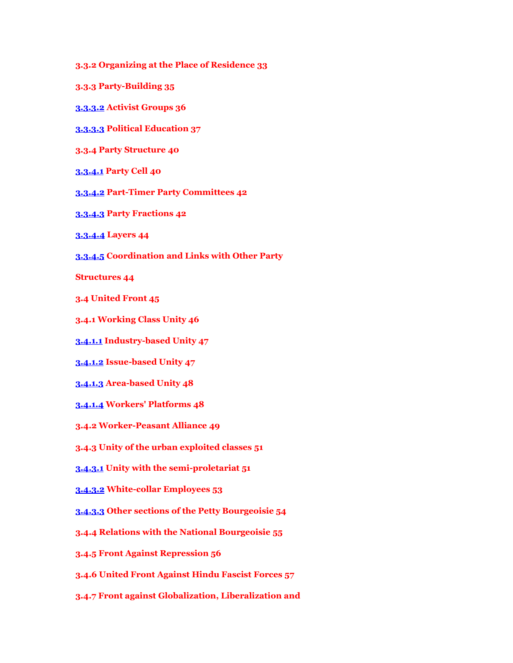**3.3.2 Organizing at the Place of Residence 33**

**3.3.3 Party-Building 35**

**[3.3.3.2](http://3.3.3.2/) Activist Groups 36** 

**[3.3.3.3](http://3.3.3.3/) Political Education 37** 

**3.3.4 Party Structure 40**

**[3.3.4.1](http://3.3.4.1/) Party Cell 40** 

**[3.3.4.2](http://3.3.4.2/) Part-Timer Party Committees 42** 

**[3.3.4.3](http://3.3.4.3/) Party Fractions 42** 

**[3.3.4.4](http://3.3.4.4/) Layers 44** 

**[3.3.4.5](http://3.3.4.5/) Coordination and Links with Other Party** 

**Structures 44**

**3.4 United Front 45**

**3.4.1 Working Class Unity 46**

**[3.4.1.1](http://3.4.1.1/) Industry-based Unity 47** 

**[3.4.1.2](http://3.4.1.2/) Issue-based Unity 47** 

**[3.4.1.3](http://3.4.1.3/) Area-based Unity 48** 

**[3.4.1.4](http://3.4.1.4/) Workers' Platforms 48** 

**3.4.2 Worker-Peasant Alliance 49**

**3.4.3 Unity of the urban exploited classes 51**

**[3.4.3.1](http://3.4.3.1/) Unity with the semi-proletariat 51** 

**[3.4.3.2](http://3.4.3.2/) White-collar Employees 53** 

**[3.4.3.3](http://3.4.3.3/) Other sections of the Petty Bourgeoisie 54** 

**3.4.4 Relations with the National Bourgeoisie 55**

**3.4.5 Front Against Repression 56**

**3.4.6 United Front Against Hindu Fascist Forces 57**

**3.4.7 Front against Globalization, Liberalization and**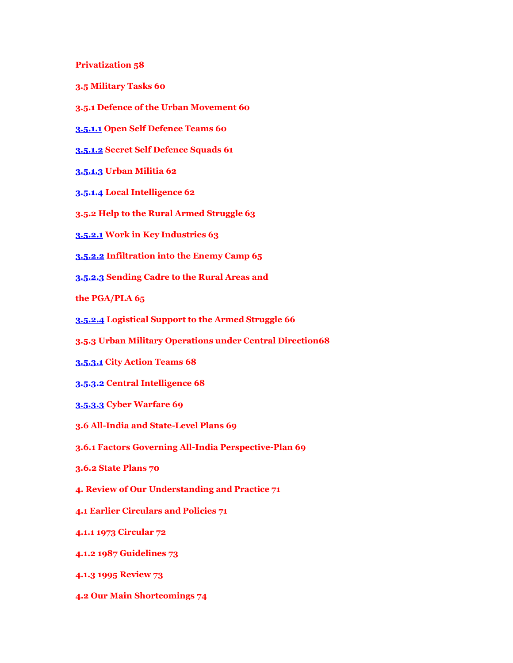**Privatization 58**

**3.5 Military Tasks 60**

**3.5.1 Defence of the Urban Movement 60**

**[3.5.1.1](http://3.5.1.1/) Open Self Defence Teams 60** 

**[3.5.1.2](http://3.5.1.2/) Secret Self Defence Squads 61** 

**[3.5.1.3](http://3.5.1.3/) Urban Militia 62** 

**[3.5.1.4](http://3.5.1.4/) Local Intelligence 62** 

**3.5.2 Help to the Rural Armed Struggle 63**

**[3.5.2.1](http://3.5.2.1/) Work in Key Industries 63** 

**[3.5.2.2](http://3.5.2.2/) Infiltration into the Enemy Camp 65** 

**[3.5.2.3](http://3.5.2.3/) Sending Cadre to the Rural Areas and** 

**the PGA/PLA 65**

**[3.5.2.4](http://3.5.2.4/) Logistical Support to the Armed Struggle 66**

- **3.5.3 Urban Military Operations under Central Direction68**
- **[3.5.3.1](http://3.5.3.1/) City Action Teams 68**
- **[3.5.3.2](http://3.5.3.2/) Central Intelligence 68**
- **[3.5.3.3](http://3.5.3.3/) Cyber Warfare 69**
- **3.6 All-India and State-Level Plans 69**

**3.6.1 Factors Governing All-India Perspective-Plan 69**

**3.6.2 State Plans 70**

**4. Review of Our Understanding and Practice 71**

**4.1 Earlier Circulars and Policies 71**

**4.1.1 1973 Circular 72**

**4.1.2 1987 Guidelines 73**

**4.1.3 1995 Review 73**

**4.2 Our Main Shortcomings 74**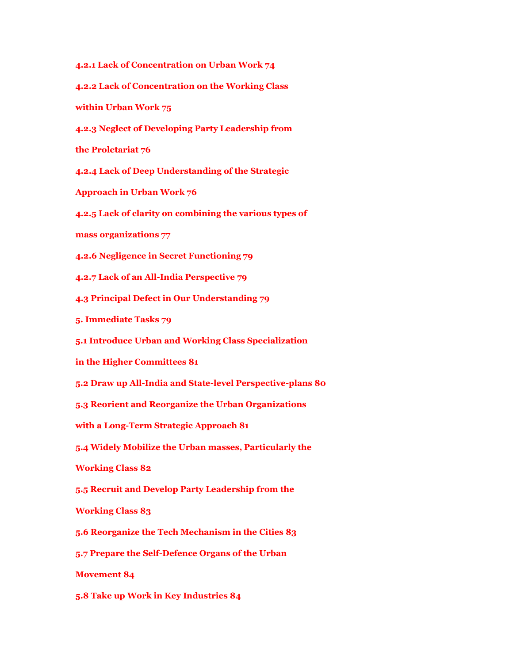**4.2.1 Lack of Concentration on Urban Work 74**

**4.2.2 Lack of Concentration on the Working Class**

**within Urban Work 75**

**4.2.3 Neglect of Developing Party Leadership from**

**the Proletariat 76**

**4.2.4 Lack of Deep Understanding of the Strategic**

**Approach in Urban Work 76**

**4.2.5 Lack of clarity on combining the various types of**

**mass organizations 77**

**4.2.6 Negligence in Secret Functioning 79**

**4.2.7 Lack of an All-India Perspective 79**

**4.3 Principal Defect in Our Understanding 79**

**5. Immediate Tasks 79**

**5.1 Introduce Urban and Working Class Specialization**

**in the Higher Committees 81**

**5.2 Draw up All-India and State-level Perspective-plans 80**

**5.3 Reorient and Reorganize the Urban Organizations**

**with a Long-Term Strategic Approach 81**

**5.4 Widely Mobilize the Urban masses, Particularly the**

**Working Class 82**

**5.5 Recruit and Develop Party Leadership from the**

**Working Class 83**

**5.6 Reorganize the Tech Mechanism in the Cities 83**

**5.7 Prepare the Self-Defence Organs of the Urban**

**Movement 84**

**5.8 Take up Work in Key Industries 84**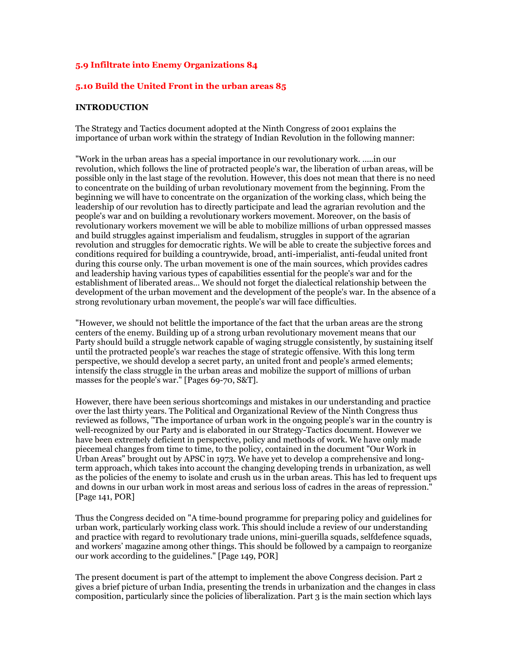# **5.9 Infiltrate into Enemy Organizations 84**

#### **5.10 Build the United Front in the urban areas 85**

# **INTRODUCTION**

The Strategy and Tactics document adopted at the Ninth Congress of 2001 explains the importance of urban work within the strategy of Indian Revolution in the following manner:

"Work in the urban areas has a special importance in our revolutionary work. …..in our revolution, which follows the line of protracted people's war, the liberation of urban areas, will be possible only in the last stage of the revolution. However, this does not mean that there is no need to concentrate on the building of urban revolutionary movement from the beginning. From the beginning we will have to concentrate on the organization of the working class, which being the leadership of our revolution has to directly participate and lead the agrarian revolution and the people's war and on building a revolutionary workers movement. Moreover, on the basis of revolutionary workers movement we will be able to mobilize millions of urban oppressed masses and build struggles against imperialism and feudalism, struggles in support of the agrarian revolution and struggles for democratic rights. We will be able to create the subjective forces and conditions required for building a countrywide, broad, anti-imperialist, anti-feudal united front during this course only. The urban movement is one of the main sources, which provides cadres and leadership having various types of capabilities essential for the people's war and for the establishment of liberated areas… We should not forget the dialectical relationship between the development of the urban movement and the development of the people's war. In the absence of a strong revolutionary urban movement, the people's war will face difficulties.

"However, we should not belittle the importance of the fact that the urban areas are the strong centers of the enemy. Building up of a strong urban revolutionary movement means that our Party should build a struggle network capable of waging struggle consistently, by sustaining itself until the protracted people's war reaches the stage of strategic offensive. With this long term perspective, we should develop a secret party, an united front and people's armed elements; intensify the class struggle in the urban areas and mobilize the support of millions of urban masses for the people's war." [Pages 69-70, S&T].

However, there have been serious shortcomings and mistakes in our understanding and practice over the last thirty years. The Political and Organizational Review of the Ninth Congress thus reviewed as follows, "The importance of urban work in the ongoing people's war in the country is well-recognized by our Party and is elaborated in our Strategy-Tactics document. However we have been extremely deficient in perspective, policy and methods of work. We have only made piecemeal changes from time to time, to the policy, contained in the document "Our Work in Urban Areas" brought out by APSC in 1973. We have yet to develop a comprehensive and longterm approach, which takes into account the changing developing trends in urbanization, as well as the policies of the enemy to isolate and crush us in the urban areas. This has led to frequent ups and downs in our urban work in most areas and serious loss of cadres in the areas of repression." [Page 141, POR]

Thus the Congress decided on "A time-bound programme for preparing policy and guidelines for urban work, particularly working class work. This should include a review of our understanding and practice with regard to revolutionary trade unions, mini-guerilla squads, selfdefence squads, and workers' magazine among other things. This should be followed by a campaign to reorganize our work according to the guidelines." [Page 149, POR]

The present document is part of the attempt to implement the above Congress decision. Part 2 gives a brief picture of urban India, presenting the trends in urbanization and the changes in class composition, particularly since the policies of liberalization. Part 3 is the main section which lays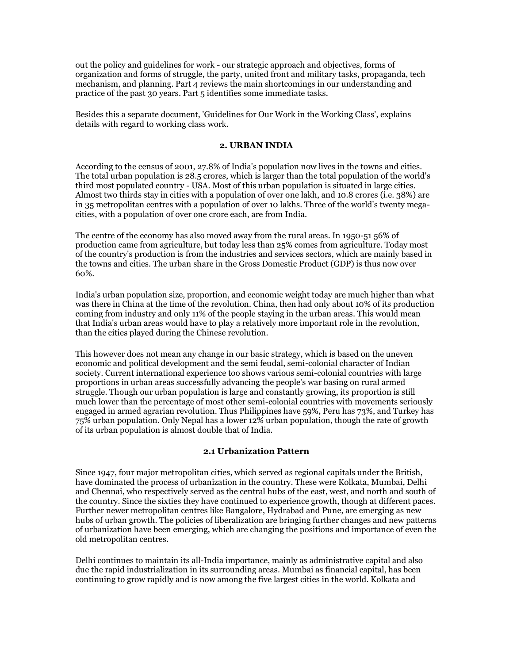out the policy and guidelines for work - our strategic approach and objectives, forms of organization and forms of struggle, the party, united front and military tasks, propaganda, tech mechanism, and planning. Part 4 reviews the main shortcomings in our understanding and practice of the past 30 years. Part 5 identifies some immediate tasks.

Besides this a separate document, 'Guidelines for Our Work in the Working Class', explains details with regard to working class work.

#### **2. URBAN INDIA**

According to the census of 2001, 27.8% of India's population now lives in the towns and cities. The total urban population is 28.5 crores, which is larger than the total population of the world's third most populated country - USA. Most of this urban population is situated in large cities. Almost two thirds stay in cities with a population of over one lakh, and 10.8 crores (i.e. 38%) are in 35 metropolitan centres with a population of over 10 lakhs. Three of the world's twenty megacities, with a population of over one crore each, are from India.

The centre of the economy has also moved away from the rural areas. In 1950-51 56% of production came from agriculture, but today less than 25% comes from agriculture. Today most of the country's production is from the industries and services sectors, which are mainly based in the towns and cities. The urban share in the Gross Domestic Product (GDP) is thus now over 60%.

India's urban population size, proportion, and economic weight today are much higher than what was there in China at the time of the revolution. China, then had only about 10% of its production coming from industry and only 11% of the people staying in the urban areas. This would mean that India's urban areas would have to play a relatively more important role in the revolution, than the cities played during the Chinese revolution.

This however does not mean any change in our basic strategy, which is based on the uneven economic and political development and the semi feudal, semi-colonial character of Indian society. Current international experience too shows various semi-colonial countries with large proportions in urban areas successfully advancing the people's war basing on rural armed struggle. Though our urban population is large and constantly growing, its proportion is still much lower than the percentage of most other semi-colonial countries with movements seriously engaged in armed agrarian revolution. Thus Philippines have 59%, Peru has 73%, and Turkey has 75% urban population. Only Nepal has a lower 12% urban population, though the rate of growth of its urban population is almost double that of India.

#### **2.1 Urbanization Pattern**

Since 1947, four major metropolitan cities, which served as regional capitals under the British, have dominated the process of urbanization in the country. These were Kolkata, Mumbai, Delhi and Chennai, who respectively served as the central hubs of the east, west, and north and south of the country. Since the sixties they have continued to experience growth, though at different paces. Further newer metropolitan centres like Bangalore, Hydrabad and Pune, are emerging as new hubs of urban growth. The policies of liberalization are bringing further changes and new patterns of urbanization have been emerging, which are changing the positions and importance of even the old metropolitan centres.

Delhi continues to maintain its all-India importance, mainly as administrative capital and also due the rapid industrialization in its surrounding areas. Mumbai as financial capital, has been continuing to grow rapidly and is now among the five largest cities in the world. Kolkata and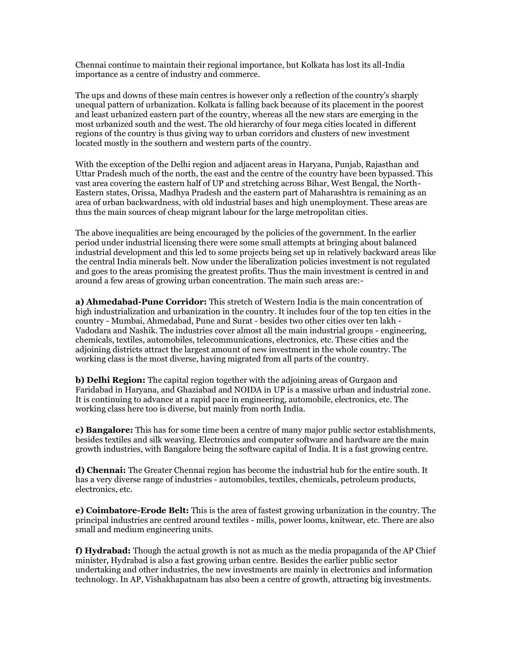Chennai continue to maintain their regional importance, but Kolkata has lost its all-India importance as a centre of industry and commerce.

The ups and downs of these main centres is however only a reflection of the country's sharply unequal pattern of urbanization. Kolkata is falling back because of its placement in the poorest and least urbanized eastern part of the country, whereas all the new stars are emerging in the most urbanized south and the west. The old hierarchy of four mega cities located in different regions of the country is thus giving way to urban corridors and clusters of new investment located mostly in the southern and western parts of the country.

With the exception of the Delhi region and adjacent areas in Haryana, Punjab, Rajasthan and Uttar Pradesh much of the north, the east and the centre of the country have been bypassed. This vast area covering the eastern half of UP and stretching across Bihar, West Bengal, the North-Eastern states, Orissa, Madhya Pradesh and the eastern part of Maharashtra is remaining as an area of urban backwardness, with old industrial bases and high unemployment. These areas are thus the main sources of cheap migrant labour for the large metropolitan cities.

The above inequalities are being encouraged by the policies of the government. In the earlier period under industrial licensing there were some small attempts at bringing about balanced industrial development and this led to some projects being set up in relatively backward areas like the central India minerals belt. Now under the liberalization policies investment is not regulated and goes to the areas promising the greatest profits. Thus the main investment is centred in and around a few areas of growing urban concentration. The main such areas are:-

**a) Ahmedabad-Pune Corridor:** This stretch of Western India is the main concentration of high industrialization and urbanization in the country. It includes four of the top ten cities in the country - Mumbai, Ahmedabad, Pune and Surat - besides two other cities over ten lakh - Vadodara and Nashik. The industries cover almost all the main industrial groups - engineering, chemicals, textiles, automobiles, telecommunications, electronics, etc. These cities and the adjoining districts attract the largest amount of new investment in the whole country. The working class is the most diverse, having migrated from all parts of the country.

**b) Delhi Region:** The capital region together with the adjoining areas of Gurgaon and Faridabad in Haryana, and Ghaziabad and NOIDA in UP is a massive urban and industrial zone. It is continuing to advance at a rapid pace in engineering, automobile, electronics, etc. The working class here too is diverse, but mainly from north India.

**c) Bangalore:** This has for some time been a centre of many major public sector establishments, besides textiles and silk weaving. Electronics and computer software and hardware are the main growth industries, with Bangalore being the software capital of India. It is a fast growing centre.

**d) Chennai:** The Greater Chennai region has become the industrial hub for the entire south. It has a very diverse range of industries - automobiles, textiles, chemicals, petroleum products, electronics, etc.

**e) Coimbatore-Erode Belt:** This is the area of fastest growing urbanization in the country. The principal industries are centred around textiles - mills, power looms, knitwear, etc. There are also small and medium engineering units.

**f) Hydrabad:** Though the actual growth is not as much as the media propaganda of the AP Chief minister, Hydrabad is also a fast growing urban centre. Besides the earlier public sector undertaking and other industries, the new investments are mainly in electronics and information technology. In AP, Vishakhapatnam has also been a centre of growth, attracting big investments.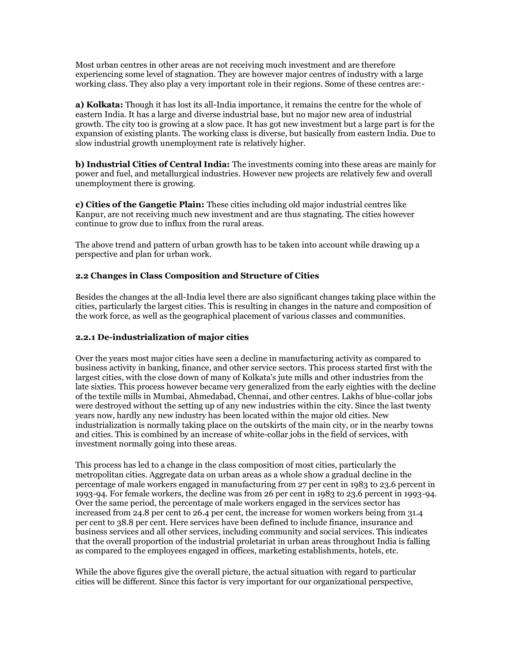Most urban centres in other areas are not receiving much investment and are therefore experiencing some level of stagnation. They are however major centres of industry with a large working class. They also play a very important role in their regions. Some of these centres are:-

**a) Kolkata:** Though it has lost its all-India importance, it remains the centre for the whole of eastern India. It has a large and diverse industrial base, but no major new area of industrial growth. The city too is growing at a slow pace. It has got new investment but a large part is for the expansion of existing plants. The working class is diverse, but basically from eastern India. Due to slow industrial growth unemployment rate is relatively higher.

**b) Industrial Cities of Central India:** The investments coming into these areas are mainly for power and fuel, and metallurgical industries. However new projects are relatively few and overall unemployment there is growing.

**c) Cities of the Gangetic Plain:** These cities including old major industrial centres like Kanpur, are not receiving much new investment and are thus stagnating. The cities however continue to grow due to influx from the rural areas.

The above trend and pattern of urban growth has to be taken into account while drawing up a perspective and plan for urban work.

# **2.2 Changes in Class Composition and Structure of Cities**

Besides the changes at the all-India level there are also significant changes taking place within the cities, particularly the largest cities. This is resulting in changes in the nature and composition of the work force, as well as the geographical placement of various classes and communities.

### **2.2.1 De-industrialization of major cities**

Over the years most major cities have seen a decline in manufacturing activity as compared to business activity in banking, finance, and other service sectors. This process started first with the largest cities, with the close down of many of Kolkata's jute mills and other industries from the late sixties. This process however became very generalized from the early eighties with the decline of the textile mills in Mumbai, Ahmedabad, Chennai, and other centres. Lakhs of blue-collar jobs were destroyed without the setting up of any new industries within the city. Since the last twenty years now, hardly any new industry has been located within the major old cities. New industrialization is normally taking place on the outskirts of the main city, or in the nearby towns and cities. This is combined by an increase of white-collar jobs in the field of services, with investment normally going into these areas.

This process has led to a change in the class composition of most cities, particularly the metropolitan cities. Aggregate data on urban areas as a whole show a gradual decline in the percentage of male workers engaged in manufacturing from 27 per cent in 1983 to 23.6 percent in 1993-94. For female workers, the decline was from 26 per cent in 1983 to 23.6 percent in 1993-94. Over the same period, the percentage of male workers engaged in the services sector has increased from 24.8 per cent to 26.4 per cent, the increase for women workers being from 31.4 per cent to 38.8 per cent. Here services have been defined to include finance, insurance and business services and all other services, including community and social services. This indicates that the overall proportion of the industrial proletariat in urban areas throughout India is falling as compared to the employees engaged in offices, marketing establishments, hotels, etc.

While the above figures give the overall picture, the actual situation with regard to particular cities will be different. Since this factor is very important for our organizational perspective,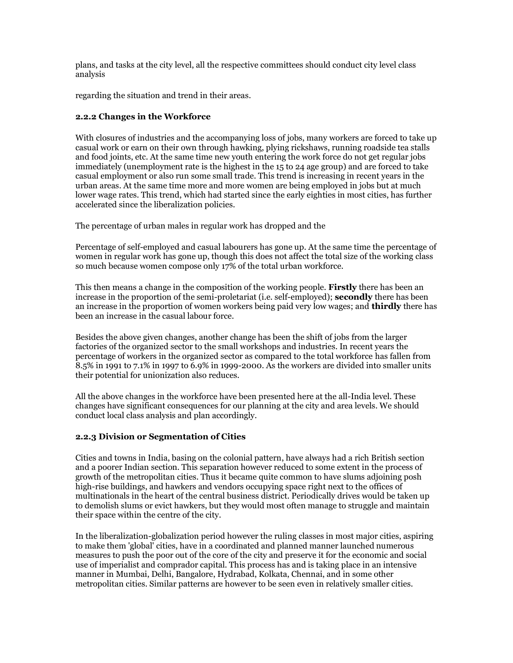plans, and tasks at the city level, all the respective committees should conduct city level class analysis

regarding the situation and trend in their areas.

### **2.2.2 Changes in the Workforce**

With closures of industries and the accompanying loss of jobs, many workers are forced to take up casual work or earn on their own through hawking, plying rickshaws, running roadside tea stalls and food joints, etc. At the same time new youth entering the work force do not get regular jobs immediately (unemployment rate is the highest in the 15 to 24 age group) and are forced to take casual employment or also run some small trade. This trend is increasing in recent years in the urban areas. At the same time more and more women are being employed in jobs but at much lower wage rates. This trend, which had started since the early eighties in most cities, has further accelerated since the liberalization policies.

The percentage of urban males in regular work has dropped and the

Percentage of self-employed and casual labourers has gone up. At the same time the percentage of women in regular work has gone up, though this does not affect the total size of the working class so much because women compose only 17% of the total urban workforce.

This then means a change in the composition of the working people. **Firstly** there has been an increase in the proportion of the semi-proletariat (i.e. self-employed); **secondly** there has been an increase in the proportion of women workers being paid very low wages; and **thirdly** there has been an increase in the casual labour force.

Besides the above given changes, another change has been the shift of jobs from the larger factories of the organized sector to the small workshops and industries. In recent years the percentage of workers in the organized sector as compared to the total workforce has fallen from 8.5% in 1991 to 7.1% in 1997 to 6.9% in 1999-2000. As the workers are divided into smaller units their potential for unionization also reduces.

All the above changes in the workforce have been presented here at the all-India level. These changes have significant consequences for our planning at the city and area levels. We should conduct local class analysis and plan accordingly.

### **2.2.3 Division or Segmentation of Cities**

Cities and towns in India, basing on the colonial pattern, have always had a rich British section and a poorer Indian section. This separation however reduced to some extent in the process of growth of the metropolitan cities. Thus it became quite common to have slums adjoining posh high-rise buildings, and hawkers and vendors occupying space right next to the offices of multinationals in the heart of the central business district. Periodically drives would be taken up to demolish slums or evict hawkers, but they would most often manage to struggle and maintain their space within the centre of the city.

In the liberalization-globalization period however the ruling classes in most major cities, aspiring to make them 'global' cities, have in a coordinated and planned manner launched numerous measures to push the poor out of the core of the city and preserve it for the economic and social use of imperialist and comprador capital. This process has and is taking place in an intensive manner in Mumbai, Delhi, Bangalore, Hydrabad, Kolkata, Chennai, and in some other metropolitan cities. Similar patterns are however to be seen even in relatively smaller cities.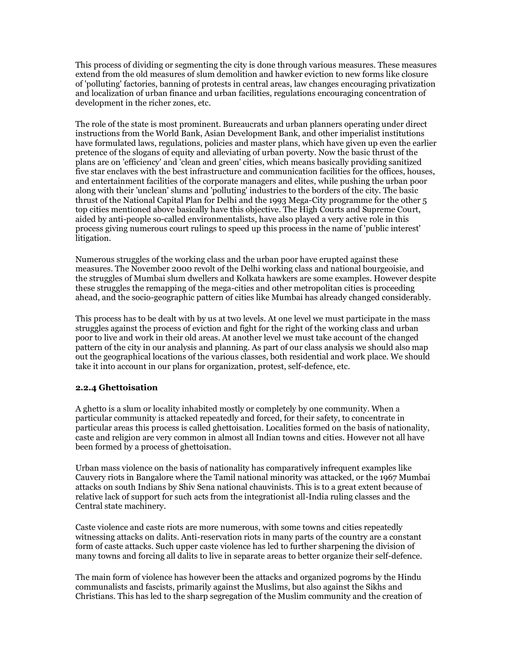This process of dividing or segmenting the city is done through various measures. These measures extend from the old measures of slum demolition and hawker eviction to new forms like closure of 'polluting' factories, banning of protests in central areas, law changes encouraging privatization and localization of urban finance and urban facilities, regulations encouraging concentration of development in the richer zones, etc.

The role of the state is most prominent. Bureaucrats and urban planners operating under direct instructions from the World Bank, Asian Development Bank, and other imperialist institutions have formulated laws, regulations, policies and master plans, which have given up even the earlier pretence of the slogans of equity and alleviating of urban poverty. Now the basic thrust of the plans are on 'efficiency' and 'clean and green' cities, which means basically providing sanitized five star enclaves with the best infrastructure and communication facilities for the offices, houses, and entertainment facilities of the corporate managers and elites, while pushing the urban poor along with their 'unclean' slums and 'polluting' industries to the borders of the city. The basic thrust of the National Capital Plan for Delhi and the 1993 Mega-City programme for the other 5 top cities mentioned above basically have this objective. The High Courts and Supreme Court, aided by anti-people so-called environmentalists, have also played a very active role in this process giving numerous court rulings to speed up this process in the name of 'public interest' litigation.

Numerous struggles of the working class and the urban poor have erupted against these measures. The November 2000 revolt of the Delhi working class and national bourgeoisie, and the struggles of Mumbai slum dwellers and Kolkata hawkers are some examples. However despite these struggles the remapping of the mega-cities and other metropolitan cities is proceeding ahead, and the socio-geographic pattern of cities like Mumbai has already changed considerably.

This process has to be dealt with by us at two levels. At one level we must participate in the mass struggles against the process of eviction and fight for the right of the working class and urban poor to live and work in their old areas. At another level we must take account of the changed pattern of the city in our analysis and planning. As part of our class analysis we should also map out the geographical locations of the various classes, both residential and work place. We should take it into account in our plans for organization, protest, self-defence, etc.

### **2.2.4 Ghettoisation**

A ghetto is a slum or locality inhabited mostly or completely by one community. When a particular community is attacked repeatedly and forced, for their safety, to concentrate in particular areas this process is called ghettoisation. Localities formed on the basis of nationality, caste and religion are very common in almost all Indian towns and cities. However not all have been formed by a process of ghettoisation.

Urban mass violence on the basis of nationality has comparatively infrequent examples like Cauvery riots in Bangalore where the Tamil national minority was attacked, or the 1967 Mumbai attacks on south Indians by Shiv Sena national chauvinists. This is to a great extent because of relative lack of support for such acts from the integrationist all-India ruling classes and the Central state machinery.

Caste violence and caste riots are more numerous, with some towns and cities repeatedly witnessing attacks on dalits. Anti-reservation riots in many parts of the country are a constant form of caste attacks. Such upper caste violence has led to further sharpening the division of many towns and forcing all dalits to live in separate areas to better organize their self-defence.

The main form of violence has however been the attacks and organized pogroms by the Hindu communalists and fascists, primarily against the Muslims, but also against the Sikhs and Christians. This has led to the sharp segregation of the Muslim community and the creation of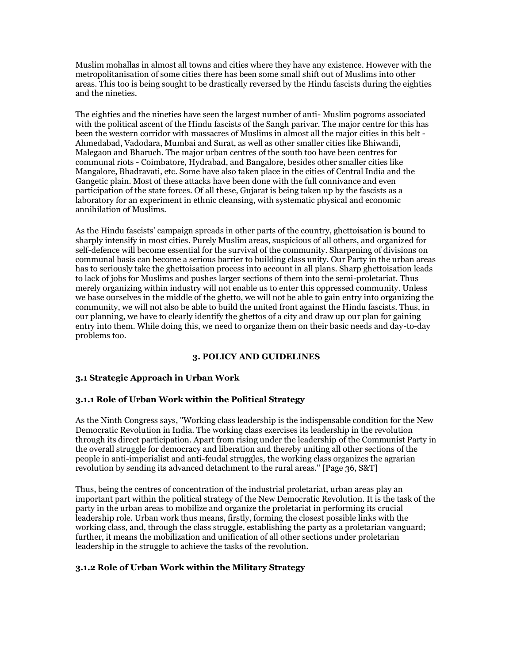Muslim mohallas in almost all towns and cities where they have any existence. However with the metropolitanisation of some cities there has been some small shift out of Muslims into other areas. This too is being sought to be drastically reversed by the Hindu fascists during the eighties and the nineties.

The eighties and the nineties have seen the largest number of anti- Muslim pogroms associated with the political ascent of the Hindu fascists of the Sangh parivar. The major centre for this has been the western corridor with massacres of Muslims in almost all the major cities in this belt - Ahmedabad, Vadodara, Mumbai and Surat, as well as other smaller cities like Bhiwandi, Malegaon and Bharuch. The major urban centres of the south too have been centres for communal riots - Coimbatore, Hydrabad, and Bangalore, besides other smaller cities like Mangalore, Bhadravati, etc. Some have also taken place in the cities of Central India and the Gangetic plain. Most of these attacks have been done with the full connivance and even participation of the state forces. Of all these, Gujarat is being taken up by the fascists as a laboratory for an experiment in ethnic cleansing, with systematic physical and economic annihilation of Muslims.

As the Hindu fascists' campaign spreads in other parts of the country, ghettoisation is bound to sharply intensify in most cities. Purely Muslim areas, suspicious of all others, and organized for self-defence will become essential for the survival of the community. Sharpening of divisions on communal basis can become a serious barrier to building class unity. Our Party in the urban areas has to seriously take the ghettoisation process into account in all plans. Sharp ghettoisation leads to lack of jobs for Muslims and pushes larger sections of them into the semi-proletariat. Thus merely organizing within industry will not enable us to enter this oppressed community. Unless we base ourselves in the middle of the ghetto, we will not be able to gain entry into organizing the community, we will not also be able to build the united front against the Hindu fascists. Thus, in our planning, we have to clearly identify the ghettos of a city and draw up our plan for gaining entry into them. While doing this, we need to organize them on their basic needs and day-to-day problems too.

### **3. POLICY AND GUIDELINES**

### **3.1 Strategic Approach in Urban Work**

### **3.1.1 Role of Urban Work within the Political Strategy**

As the Ninth Congress says, "Working class leadership is the indispensable condition for the New Democratic Revolution in India. The working class exercises its leadership in the revolution through its direct participation. Apart from rising under the leadership of the Communist Party in the overall struggle for democracy and liberation and thereby uniting all other sections of the people in anti-imperialist and anti-feudal struggles, the working class organizes the agrarian revolution by sending its advanced detachment to the rural areas." [Page 36, S&T]

Thus, being the centres of concentration of the industrial proletariat, urban areas play an important part within the political strategy of the New Democratic Revolution. It is the task of the party in the urban areas to mobilize and organize the proletariat in performing its crucial leadership role. Urban work thus means, firstly, forming the closest possible links with the working class, and, through the class struggle, establishing the party as a proletarian vanguard; further, it means the mobilization and unification of all other sections under proletarian leadership in the struggle to achieve the tasks of the revolution.

### **3.1.2 Role of Urban Work within the Military Strategy**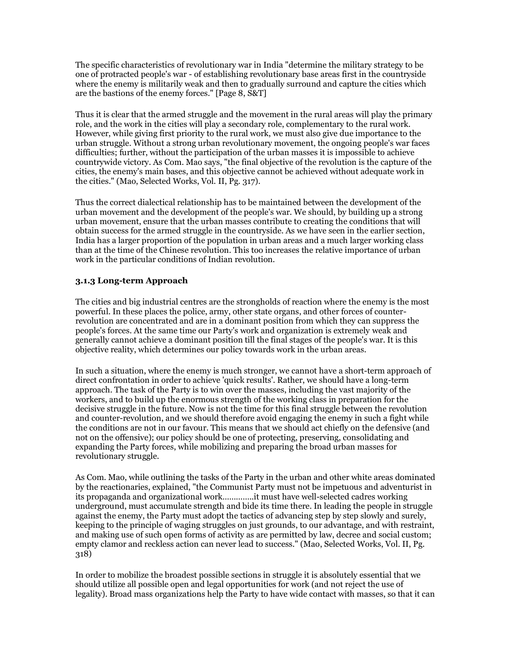The specific characteristics of revolutionary war in India "determine the military strategy to be one of protracted people's war - of establishing revolutionary base areas first in the countryside where the enemy is militarily weak and then to gradually surround and capture the cities which are the bastions of the enemy forces." [Page 8, S&T]

Thus it is clear that the armed struggle and the movement in the rural areas will play the primary role, and the work in the cities will play a secondary role, complementary to the rural work. However, while giving first priority to the rural work, we must also give due importance to the urban struggle. Without a strong urban revolutionary movement, the ongoing people's war faces difficulties; further, without the participation of the urban masses it is impossible to achieve countrywide victory. As Com. Mao says, "the final objective of the revolution is the capture of the cities, the enemy's main bases, and this objective cannot be achieved without adequate work in the cities." (Mao, Selected Works, Vol. II, Pg. 317).

Thus the correct dialectical relationship has to be maintained between the development of the urban movement and the development of the people's war. We should, by building up a strong urban movement, ensure that the urban masses contribute to creating the conditions that will obtain success for the armed struggle in the countryside. As we have seen in the earlier section, India has a larger proportion of the population in urban areas and a much larger working class than at the time of the Chinese revolution. This too increases the relative importance of urban work in the particular conditions of Indian revolution.

# **3.1.3 Long-term Approach**

The cities and big industrial centres are the strongholds of reaction where the enemy is the most powerful. In these places the police, army, other state organs, and other forces of counterrevolution are concentrated and are in a dominant position from which they can suppress the people's forces. At the same time our Party's work and organization is extremely weak and generally cannot achieve a dominant position till the final stages of the people's war. It is this objective reality, which determines our policy towards work in the urban areas.

In such a situation, where the enemy is much stronger, we cannot have a short-term approach of direct confrontation in order to achieve 'quick results'. Rather, we should have a long-term approach. The task of the Party is to win over the masses, including the vast majority of the workers, and to build up the enormous strength of the working class in preparation for the decisive struggle in the future. Now is not the time for this final struggle between the revolution and counter-revolution, and we should therefore avoid engaging the enemy in such a fight while the conditions are not in our favour. This means that we should act chiefly on the defensive (and not on the offensive); our policy should be one of protecting, preserving, consolidating and expanding the Party forces, while mobilizing and preparing the broad urban masses for revolutionary struggle.

As Com. Mao, while outlining the tasks of the Party in the urban and other white areas dominated by the reactionaries, explained, "the Communist Party must not be impetuous and adventurist in its propaganda and organizational work…………..it must have well-selected cadres working underground, must accumulate strength and bide its time there. In leading the people in struggle against the enemy, the Party must adopt the tactics of advancing step by step slowly and surely, keeping to the principle of waging struggles on just grounds, to our advantage, and with restraint, and making use of such open forms of activity as are permitted by law, decree and social custom; empty clamor and reckless action can never lead to success." (Mao, Selected Works, Vol. II, Pg. 318)

In order to mobilize the broadest possible sections in struggle it is absolutely essential that we should utilize all possible open and legal opportunities for work (and not reject the use of legality). Broad mass organizations help the Party to have wide contact with masses, so that it can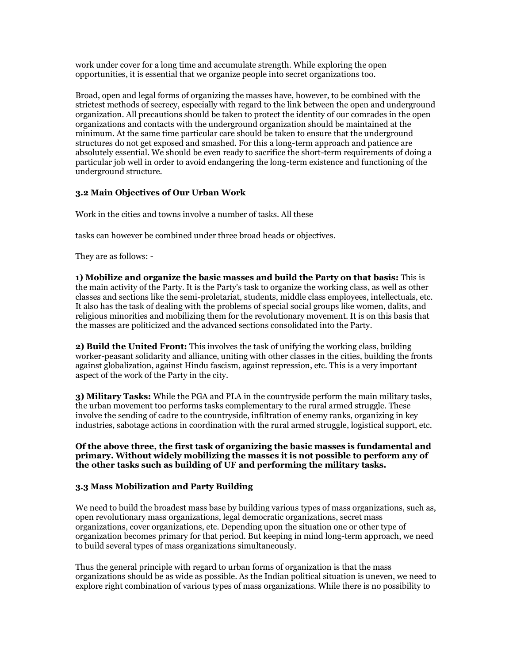work under cover for a long time and accumulate strength. While exploring the open opportunities, it is essential that we organize people into secret organizations too.

Broad, open and legal forms of organizing the masses have, however, to be combined with the strictest methods of secrecy, especially with regard to the link between the open and underground organization. All precautions should be taken to protect the identity of our comrades in the open organizations and contacts with the underground organization should be maintained at the minimum. At the same time particular care should be taken to ensure that the underground structures do not get exposed and smashed. For this a long-term approach and patience are absolutely essential. We should be even ready to sacrifice the short-term requirements of doing a particular job well in order to avoid endangering the long-term existence and functioning of the underground structure.

# **3.2 Main Objectives of Our Urban Work**

Work in the cities and towns involve a number of tasks. All these

tasks can however be combined under three broad heads or objectives.

They are as follows: -

**1) Mobilize and organize the basic masses and build the Party on that basis:** This is the main activity of the Party. It is the Party's task to organize the working class, as well as other classes and sections like the semi-proletariat, students, middle class employees, intellectuals, etc. It also has the task of dealing with the problems of special social groups like women, dalits, and religious minorities and mobilizing them for the revolutionary movement. It is on this basis that the masses are politicized and the advanced sections consolidated into the Party.

**2) Build the United Front:** This involves the task of unifying the working class, building worker-peasant solidarity and alliance, uniting with other classes in the cities, building the fronts against globalization, against Hindu fascism, against repression, etc. This is a very important aspect of the work of the Party in the city.

**3) Military Tasks:** While the PGA and PLA in the countryside perform the main military tasks, the urban movement too performs tasks complementary to the rural armed struggle. These involve the sending of cadre to the countryside, infiltration of enemy ranks, organizing in key industries, sabotage actions in coordination with the rural armed struggle, logistical support, etc.

### **Of the above three, the first task of organizing the basic masses is fundamental and primary. Without widely mobilizing the masses it is not possible to perform any of the other tasks such as building of UF and performing the military tasks.**

# **3.3 Mass Mobilization and Party Building**

We need to build the broadest mass base by building various types of mass organizations, such as, open revolutionary mass organizations, legal democratic organizations, secret mass organizations, cover organizations, etc. Depending upon the situation one or other type of organization becomes primary for that period. But keeping in mind long-term approach, we need to build several types of mass organizations simultaneously.

Thus the general principle with regard to urban forms of organization is that the mass organizations should be as wide as possible. As the Indian political situation is uneven, we need to explore right combination of various types of mass organizations. While there is no possibility to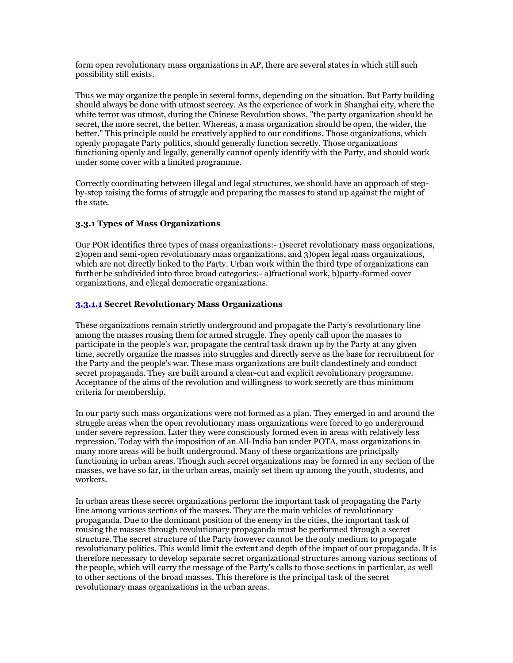form open revolutionary mass organizations in AP, there are several states in which still such possibility still exists.

Thus we may organize the people in several forms, depending on the situation. But Party building should always be done with utmost secrecy. As the experience of work in Shanghai city, where the white terror was utmost, during the Chinese Revolution shows, "the party organization should be secret, the more secret, the better. Whereas, a mass organization should be open, the wider, the better." This principle could be creatively applied to our conditions. Those organizations, which openly propagate Party politics, should generally function secretly. Those organizations functioning openly and legally, generally cannot openly identify with the Party, and should work under some cover with a limited programme.

Correctly coordinating between illegal and legal structures, we should have an approach of stepby-step raising the forms of struggle and preparing the masses to stand up against the might of the state.

# **3.3.1 Types of Mass Organizations**

Our POR identifies three types of mass organizations:- 1)secret revolutionary mass organizations, 2)open and semi-open revolutionary mass organizations, and 3)open legal mass organizations, which are not directly linked to the Party. Urban work within the third type of organizations can further be subdivided into three broad categories:- a)fractional work, b)party-formed cover organizations, and c)legal democratic organizations.

### **[3.3.1.1](http://3.3.1.1/) Secret Revolutionary Mass Organizations**

These organizations remain strictly underground and propagate the Party's revolutionary line among the masses rousing them for armed struggle. They openly call upon the masses to participate in the people's war, propagate the central task drawn up by the Party at any given time, secretly organize the masses into struggles and directly serve as the base for recruitment for the Party and the people's war. These mass organizations are built clandestinely and conduct secret propaganda. They are built around a clear-cut and explicit revolutionary programme. Acceptance of the aims of the revolution and willingness to work secretly are thus minimum criteria for membership.

In our party such mass organizations were not formed as a plan. They emerged in and around the struggle areas when the open revolutionary mass organizations were forced to go underground under severe repression. Later they were consciously formed even in areas with relatively less repression. Today with the imposition of an All-India ban under POTA, mass organizations in many more areas will be built underground. Many of these organizations are principally functioning in urban areas. Though such secret organizations may be formed in any section of the masses, we have so far, in the urban areas, mainly set them up among the youth, students, and workers.

In urban areas these secret organizations perform the important task of propagating the Party line among various sections of the masses. They are the main vehicles of revolutionary propaganda. Due to the dominant position of the enemy in the cities, the important task of rousing the masses through revolutionary propaganda must be performed through a secret structure. The secret structure of the Party however cannot be the only medium to propagate revolutionary politics. This would limit the extent and depth of the impact of our propaganda. It is therefore necessary to develop separate secret organizational structures among various sections of the people, which will carry the message of the Party's calls to those sections in particular, as well to other sections of the broad masses. This therefore is the principal task of the secret revolutionary mass organizations in the urban areas.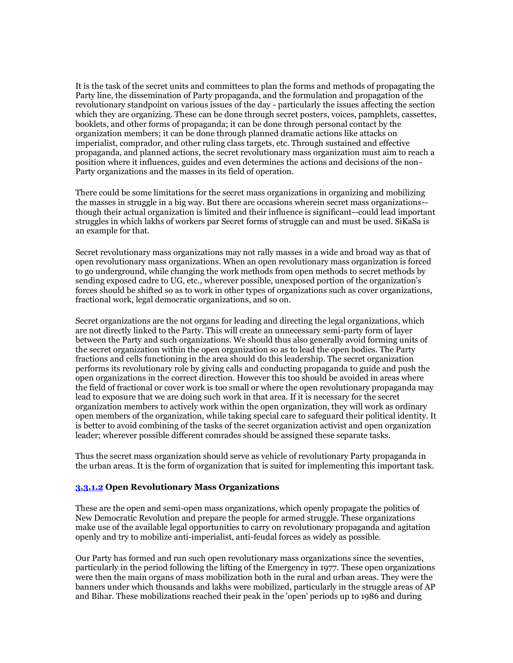It is the task of the secret units and committees to plan the forms and methods of propagating the Party line, the dissemination of Party propaganda, and the formulation and propagation of the revolutionary standpoint on various issues of the day - particularly the issues affecting the section which they are organizing. These can be done through secret posters, voices, pamphlets, cassettes, booklets, and other forms of propaganda; it can be done through personal contact by the organization members; it can be done through planned dramatic actions like attacks on imperialist, comprador, and other ruling class targets, etc. Through sustained and effective propaganda, and planned actions, the secret revolutionary mass organization must aim to reach a position where it influences, guides and even determines the actions and decisions of the non-Party organizations and the masses in its field of operation.

There could be some limitations for the secret mass organizations in organizing and mobilizing the masses in struggle in a big way. But there are occasions wherein secret mass organizations- though their actual organization is limited and their influence is significant--could lead important struggles in which lakhs of workers par Secret forms of struggle can and must be used. SiKaSa is an example for that.

Secret revolutionary mass organizations may not rally masses in a wide and broad way as that of open revolutionary mass organizations. When an open revolutionary mass organization is forced to go underground, while changing the work methods from open methods to secret methods by sending exposed cadre to UG, etc., wherever possible, unexposed portion of the organization's forces should be shifted so as to work in other types of organizations such as cover organizations, fractional work, legal democratic organizations, and so on.

Secret organizations are the not organs for leading and directing the legal organizations, which are not directly linked to the Party. This will create an unnecessary semi-party form of layer between the Party and such organizations. We should thus also generally avoid forming units of the secret organization within the open organization so as to lead the open bodies. The Party fractions and cells functioning in the area should do this leadership. The secret organization performs its revolutionary role by giving calls and conducting propaganda to guide and push the open organizations in the correct direction. However this too should be avoided in areas where the field of fractional or cover work is too small or where the open revolutionary propaganda may lead to exposure that we are doing such work in that area. If it is necessary for the secret organization members to actively work within the open organization, they will work as ordinary open members of the organization, while taking special care to safeguard their political identity. It is better to avoid combining of the tasks of the secret organization activist and open organization leader; wherever possible different comrades should be assigned these separate tasks.

Thus the secret mass organization should serve as vehicle of revolutionary Party propaganda in the urban areas. It is the form of organization that is suited for implementing this important task.

#### **[3.3.1.2](http://3.3.1.2/) Open Revolutionary Mass Organizations**

These are the open and semi-open mass organizations, which openly propagate the politics of New Democratic Revolution and prepare the people for armed struggle. These organizations make use of the available legal opportunities to carry on revolutionary propaganda and agitation openly and try to mobilize anti-imperialist, anti-feudal forces as widely as possible.

Our Party has formed and run such open revolutionary mass organizations since the seventies, particularly in the period following the lifting of the Emergency in 1977. These open organizations were then the main organs of mass mobilization both in the rural and urban areas. They were the banners under which thousands and lakhs were mobilized, particularly in the struggle areas of AP and Bihar. These mobilizations reached their peak in the 'open' periods up to 1986 and during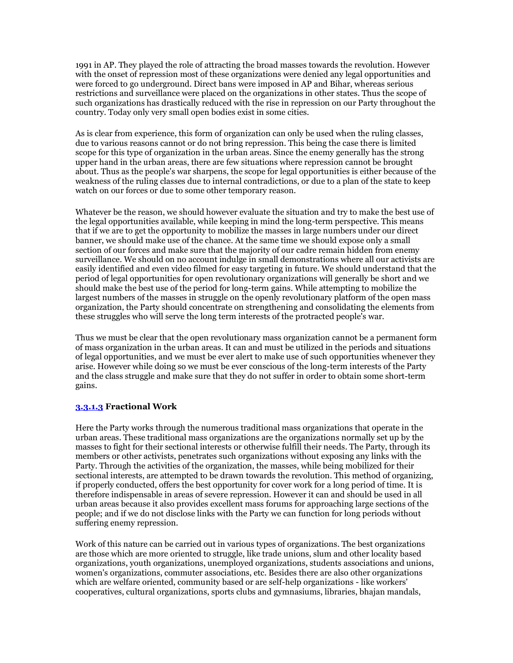1991 in AP. They played the role of attracting the broad masses towards the revolution. However with the onset of repression most of these organizations were denied any legal opportunities and were forced to go underground. Direct bans were imposed in AP and Bihar, whereas serious restrictions and surveillance were placed on the organizations in other states. Thus the scope of such organizations has drastically reduced with the rise in repression on our Party throughout the country. Today only very small open bodies exist in some cities.

As is clear from experience, this form of organization can only be used when the ruling classes, due to various reasons cannot or do not bring repression. This being the case there is limited scope for this type of organization in the urban areas. Since the enemy generally has the strong upper hand in the urban areas, there are few situations where repression cannot be brought about. Thus as the people's war sharpens, the scope for legal opportunities is either because of the weakness of the ruling classes due to internal contradictions, or due to a plan of the state to keep watch on our forces or due to some other temporary reason.

Whatever be the reason, we should however evaluate the situation and try to make the best use of the legal opportunities available, while keeping in mind the long-term perspective. This means that if we are to get the opportunity to mobilize the masses in large numbers under our direct banner, we should make use of the chance. At the same time we should expose only a small section of our forces and make sure that the majority of our cadre remain hidden from enemy surveillance. We should on no account indulge in small demonstrations where all our activists are easily identified and even video filmed for easy targeting in future. We should understand that the period of legal opportunities for open revolutionary organizations will generally be short and we should make the best use of the period for long-term gains. While attempting to mobilize the largest numbers of the masses in struggle on the openly revolutionary platform of the open mass organization, the Party should concentrate on strengthening and consolidating the elements from these struggles who will serve the long term interests of the protracted people's war.

Thus we must be clear that the open revolutionary mass organization cannot be a permanent form of mass organization in the urban areas. It can and must be utilized in the periods and situations of legal opportunities, and we must be ever alert to make use of such opportunities whenever they arise. However while doing so we must be ever conscious of the long-term interests of the Party and the class struggle and make sure that they do not suffer in order to obtain some short-term gains.

### **[3.3.1.3](http://3.3.1.3/) Fractional Work**

Here the Party works through the numerous traditional mass organizations that operate in the urban areas. These traditional mass organizations are the organizations normally set up by the masses to fight for their sectional interests or otherwise fulfill their needs. The Party, through its members or other activists, penetrates such organizations without exposing any links with the Party. Through the activities of the organization, the masses, while being mobilized for their sectional interests, are attempted to be drawn towards the revolution. This method of organizing, if properly conducted, offers the best opportunity for cover work for a long period of time. It is therefore indispensable in areas of severe repression. However it can and should be used in all urban areas because it also provides excellent mass forums for approaching large sections of the people; and if we do not disclose links with the Party we can function for long periods without suffering enemy repression.

Work of this nature can be carried out in various types of organizations. The best organizations are those which are more oriented to struggle, like trade unions, slum and other locality based organizations, youth organizations, unemployed organizations, students associations and unions, women's organizations, commuter associations, etc. Besides there are also other organizations which are welfare oriented, community based or are self-help organizations - like workers' cooperatives, cultural organizations, sports clubs and gymnasiums, libraries, bhajan mandals,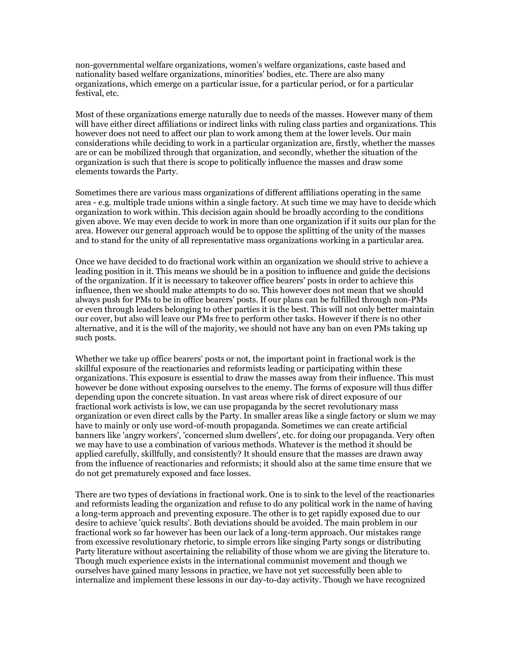non-governmental welfare organizations, women's welfare organizations, caste based and nationality based welfare organizations, minorities' bodies, etc. There are also many organizations, which emerge on a particular issue, for a particular period, or for a particular festival, etc.

Most of these organizations emerge naturally due to needs of the masses. However many of them will have either direct affiliations or indirect links with ruling class parties and organizations. This however does not need to affect our plan to work among them at the lower levels. Our main considerations while deciding to work in a particular organization are, firstly, whether the masses are or can be mobilized through that organization, and secondly, whether the situation of the organization is such that there is scope to politically influence the masses and draw some elements towards the Party.

Sometimes there are various mass organizations of different affiliations operating in the same area - e.g. multiple trade unions within a single factory. At such time we may have to decide which organization to work within. This decision again should be broadly according to the conditions given above. We may even decide to work in more than one organization if it suits our plan for the area. However our general approach would be to oppose the splitting of the unity of the masses and to stand for the unity of all representative mass organizations working in a particular area.

Once we have decided to do fractional work within an organization we should strive to achieve a leading position in it. This means we should be in a position to influence and guide the decisions of the organization. If it is necessary to takeover office bearers' posts in order to achieve this influence, then we should make attempts to do so. This however does not mean that we should always push for PMs to be in office bearers' posts. If our plans can be fulfilled through non-PMs or even through leaders belonging to other parties it is the best. This will not only better maintain our cover, but also will leave our PMs free to perform other tasks. However if there is no other alternative, and it is the will of the majority, we should not have any ban on even PMs taking up such posts.

Whether we take up office bearers' posts or not, the important point in fractional work is the skillful exposure of the reactionaries and reformists leading or participating within these organizations. This exposure is essential to draw the masses away from their influence. This must however be done without exposing ourselves to the enemy. The forms of exposure will thus differ depending upon the concrete situation. In vast areas where risk of direct exposure of our fractional work activists is low, we can use propaganda by the secret revolutionary mass organization or even direct calls by the Party. In smaller areas like a single factory or slum we may have to mainly or only use word-of-mouth propaganda. Sometimes we can create artificial banners like 'angry workers', 'concerned slum dwellers', etc. for doing our propaganda. Very often we may have to use a combination of various methods. Whatever is the method it should be applied carefully, skillfully, and consistently? It should ensure that the masses are drawn away from the influence of reactionaries and reformists; it should also at the same time ensure that we do not get prematurely exposed and face losses.

There are two types of deviations in fractional work. One is to sink to the level of the reactionaries and reformists leading the organization and refuse to do any political work in the name of having a long-term approach and preventing exposure. The other is to get rapidly exposed due to our desire to achieve 'quick results'. Both deviations should be avoided. The main problem in our fractional work so far however has been our lack of a long-term approach. Our mistakes range from excessive revolutionary rhetoric, to simple errors like singing Party songs or distributing Party literature without ascertaining the reliability of those whom we are giving the literature to. Though much experience exists in the international communist movement and though we ourselves have gained many lessons in practice, we have not yet successfully been able to internalize and implement these lessons in our day-to-day activity. Though we have recognized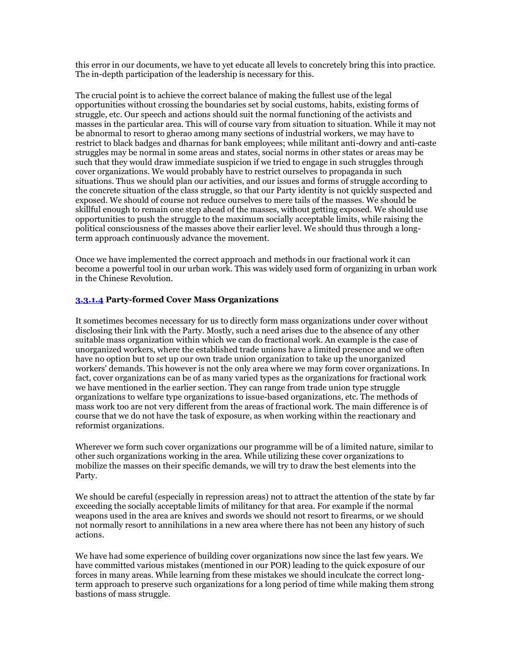this error in our documents, we have to yet educate all levels to concretely bring this into practice. The in-depth participation of the leadership is necessary for this.

The crucial point is to achieve the correct balance of making the fullest use of the legal opportunities without crossing the boundaries set by social customs, habits, existing forms of struggle, etc. Our speech and actions should suit the normal functioning of the activists and masses in the particular area. This will of course vary from situation to situation. While it may not be abnormal to resort to gherao among many sections of industrial workers, we may have to restrict to black badges and dharnas for bank employees; while militant anti-dowry and anti-caste struggles may be normal in some areas and states, social norms in other states or areas may be such that they would draw immediate suspicion if we tried to engage in such struggles through cover organizations. We would probably have to restrict ourselves to propaganda in such situations. Thus we should plan our activities, and our issues and forms of struggle according to the concrete situation of the class struggle, so that our Party identity is not quickly suspected and exposed. We should of course not reduce ourselves to mere tails of the masses. We should be skillful enough to remain one step ahead of the masses, without getting exposed. We should use opportunities to push the struggle to the maximum socially acceptable limits, while raising the political consciousness of the masses above their earlier level. We should thus through a longterm approach continuously advance the movement.

Once we have implemented the correct approach and methods in our fractional work it can become a powerful tool in our urban work. This was widely used form of organizing in urban work in the Chinese Revolution.

### **[3.3.1.4](http://3.3.1.4/) Party-formed Cover Mass Organizations**

It sometimes becomes necessary for us to directly form mass organizations under cover without disclosing their link with the Party. Mostly, such a need arises due to the absence of any other suitable mass organization within which we can do fractional work. An example is the case of unorganized workers, where the established trade unions have a limited presence and we often have no option but to set up our own trade union organization to take up the unorganized workers' demands. This however is not the only area where we may form cover organizations. In fact, cover organizations can be of as many varied types as the organizations for fractional work we have mentioned in the earlier section. They can range from trade union type struggle organizations to welfare type organizations to issue-based organizations, etc. The methods of mass work too are not very different from the areas of fractional work. The main difference is of course that we do not have the task of exposure, as when working within the reactionary and reformist organizations.

Wherever we form such cover organizations our programme will be of a limited nature, similar to other such organizations working in the area. While utilizing these cover organizations to mobilize the masses on their specific demands, we will try to draw the best elements into the Party.

We should be careful (especially in repression areas) not to attract the attention of the state by far exceeding the socially acceptable limits of militancy for that area. For example if the normal weapons used in the area are knives and swords we should not resort to firearms, or we should not normally resort to annihilations in a new area where there has not been any history of such actions.

We have had some experience of building cover organizations now since the last few years. We have committed various mistakes (mentioned in our POR) leading to the quick exposure of our forces in many areas. While learning from these mistakes we should inculcate the correct longterm approach to preserve such organizations for a long period of time while making them strong bastions of mass struggle.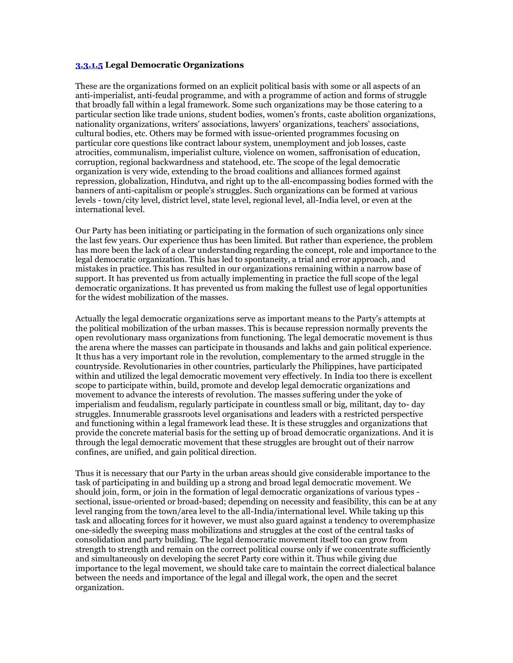### **[3.3.1.5](http://3.3.1.5/) Legal Democratic Organizations**

These are the organizations formed on an explicit political basis with some or all aspects of an anti-imperialist, anti-feudal programme, and with a programme of action and forms of struggle that broadly fall within a legal framework. Some such organizations may be those catering to a particular section like trade unions, student bodies, women's fronts, caste abolition organizations, nationality organizations, writers' associations, lawyers' organizations, teachers' associations, cultural bodies, etc. Others may be formed with issue-oriented programmes focusing on particular core questions like contract labour system, unemployment and job losses, caste atrocities, communalism, imperialist culture, violence on women, saffronisation of education, corruption, regional backwardness and statehood, etc. The scope of the legal democratic organization is very wide, extending to the broad coalitions and alliances formed against repression, globalization, Hindutva, and right up to the all-encompassing bodies formed with the banners of anti-capitalism or people's struggles. Such organizations can be formed at various levels - town/city level, district level, state level, regional level, all-India level, or even at the international level.

Our Party has been initiating or participating in the formation of such organizations only since the last few years. Our experience thus has been limited. But rather than experience, the problem has more been the lack of a clear understanding regarding the concept, role and importance to the legal democratic organization. This has led to spontaneity, a trial and error approach, and mistakes in practice. This has resulted in our organizations remaining within a narrow base of support. It has prevented us from actually implementing in practice the full scope of the legal democratic organizations. It has prevented us from making the fullest use of legal opportunities for the widest mobilization of the masses.

Actually the legal democratic organizations serve as important means to the Party's attempts at the political mobilization of the urban masses. This is because repression normally prevents the open revolutionary mass organizations from functioning. The legal democratic movement is thus the arena where the masses can participate in thousands and lakhs and gain political experience. It thus has a very important role in the revolution, complementary to the armed struggle in the countryside. Revolutionaries in other countries, particularly the Philippines, have participated within and utilized the legal democratic movement very effectively. In India too there is excellent scope to participate within, build, promote and develop legal democratic organizations and movement to advance the interests of revolution. The masses suffering under the yoke of imperialism and feudalism, regularly participate in countless small or big, militant, day to- day struggles. Innumerable grassroots level organisations and leaders with a restricted perspective and functioning within a legal framework lead these. It is these struggles and organizations that provide the concrete material basis for the setting up of broad democratic organizations. And it is through the legal democratic movement that these struggles are brought out of their narrow confines, are unified, and gain political direction.

Thus it is necessary that our Party in the urban areas should give considerable importance to the task of participating in and building up a strong and broad legal democratic movement. We should join, form, or join in the formation of legal democratic organizations of various types sectional, issue-oriented or broad-based; depending on necessity and feasibility, this can be at any level ranging from the town/area level to the all-India/international level. While taking up this task and allocating forces for it however, we must also guard against a tendency to overemphasize one-sidedly the sweeping mass mobilizations and struggles at the cost of the central tasks of consolidation and party building. The legal democratic movement itself too can grow from strength to strength and remain on the correct political course only if we concentrate sufficiently and simultaneously on developing the secret Party core within it. Thus while giving due importance to the legal movement, we should take care to maintain the correct dialectical balance between the needs and importance of the legal and illegal work, the open and the secret organization.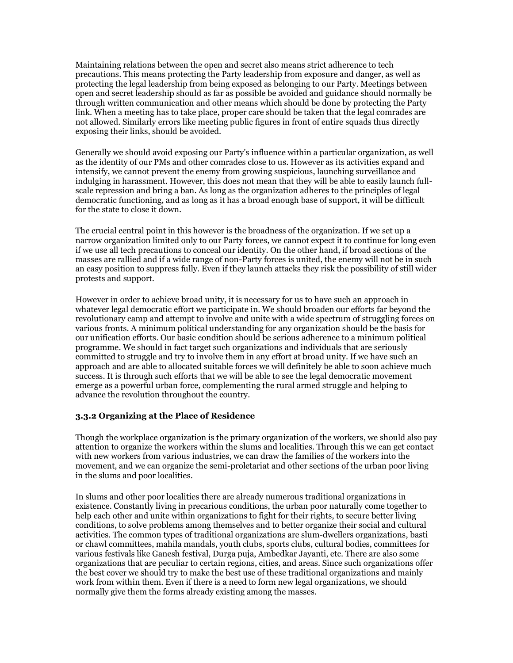Maintaining relations between the open and secret also means strict adherence to tech precautions. This means protecting the Party leadership from exposure and danger, as well as protecting the legal leadership from being exposed as belonging to our Party. Meetings between open and secret leadership should as far as possible be avoided and guidance should normally be through written communication and other means which should be done by protecting the Party link. When a meeting has to take place, proper care should be taken that the legal comrades are not allowed. Similarly errors like meeting public figures in front of entire squads thus directly exposing their links, should be avoided.

Generally we should avoid exposing our Party's influence within a particular organization, as well as the identity of our PMs and other comrades close to us. However as its activities expand and intensify, we cannot prevent the enemy from growing suspicious, launching surveillance and indulging in harassment. However, this does not mean that they will be able to easily launch fullscale repression and bring a ban. As long as the organization adheres to the principles of legal democratic functioning, and as long as it has a broad enough base of support, it will be difficult for the state to close it down.

The crucial central point in this however is the broadness of the organization. If we set up a narrow organization limited only to our Party forces, we cannot expect it to continue for long even if we use all tech precautions to conceal our identity. On the other hand, if broad sections of the masses are rallied and if a wide range of non-Party forces is united, the enemy will not be in such an easy position to suppress fully. Even if they launch attacks they risk the possibility of still wider protests and support.

However in order to achieve broad unity, it is necessary for us to have such an approach in whatever legal democratic effort we participate in. We should broaden our efforts far beyond the revolutionary camp and attempt to involve and unite with a wide spectrum of struggling forces on various fronts. A minimum political understanding for any organization should be the basis for our unification efforts. Our basic condition should be serious adherence to a minimum political programme. We should in fact target such organizations and individuals that are seriously committed to struggle and try to involve them in any effort at broad unity. If we have such an approach and are able to allocated suitable forces we will definitely be able to soon achieve much success. It is through such efforts that we will be able to see the legal democratic movement emerge as a powerful urban force, complementing the rural armed struggle and helping to advance the revolution throughout the country.

### **3.3.2 Organizing at the Place of Residence**

Though the workplace organization is the primary organization of the workers, we should also pay attention to organize the workers within the slums and localities. Through this we can get contact with new workers from various industries, we can draw the families of the workers into the movement, and we can organize the semi-proletariat and other sections of the urban poor living in the slums and poor localities.

In slums and other poor localities there are already numerous traditional organizations in existence. Constantly living in precarious conditions, the urban poor naturally come together to help each other and unite within organizations to fight for their rights, to secure better living conditions, to solve problems among themselves and to better organize their social and cultural activities. The common types of traditional organizations are slum-dwellers organizations, basti or chawl committees, mahila mandals, youth clubs, sports clubs, cultural bodies, committees for various festivals like Ganesh festival, Durga puja, Ambedkar Jayanti, etc. There are also some organizations that are peculiar to certain regions, cities, and areas. Since such organizations offer the best cover we should try to make the best use of these traditional organizations and mainly work from within them. Even if there is a need to form new legal organizations, we should normally give them the forms already existing among the masses.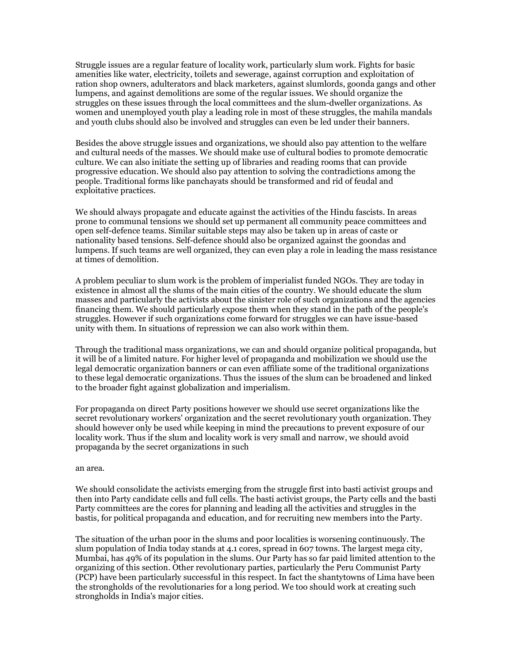Struggle issues are a regular feature of locality work, particularly slum work. Fights for basic amenities like water, electricity, toilets and sewerage, against corruption and exploitation of ration shop owners, adulterators and black marketers, against slumlords, goonda gangs and other lumpens, and against demolitions are some of the regular issues. We should organize the struggles on these issues through the local committees and the slum-dweller organizations. As women and unemployed youth play a leading role in most of these struggles, the mahila mandals and youth clubs should also be involved and struggles can even be led under their banners.

Besides the above struggle issues and organizations, we should also pay attention to the welfare and cultural needs of the masses. We should make use of cultural bodies to promote democratic culture. We can also initiate the setting up of libraries and reading rooms that can provide progressive education. We should also pay attention to solving the contradictions among the people. Traditional forms like panchayats should be transformed and rid of feudal and exploitative practices.

We should always propagate and educate against the activities of the Hindu fascists. In areas prone to communal tensions we should set up permanent all community peace committees and open self-defence teams. Similar suitable steps may also be taken up in areas of caste or nationality based tensions. Self-defence should also be organized against the goondas and lumpens. If such teams are well organized, they can even play a role in leading the mass resistance at times of demolition.

A problem peculiar to slum work is the problem of imperialist funded NGOs. They are today in existence in almost all the slums of the main cities of the country. We should educate the slum masses and particularly the activists about the sinister role of such organizations and the agencies financing them. We should particularly expose them when they stand in the path of the people's struggles. However if such organizations come forward for struggles we can have issue-based unity with them. In situations of repression we can also work within them.

Through the traditional mass organizations, we can and should organize political propaganda, but it will be of a limited nature. For higher level of propaganda and mobilization we should use the legal democratic organization banners or can even affiliate some of the traditional organizations to these legal democratic organizations. Thus the issues of the slum can be broadened and linked to the broader fight against globalization and imperialism.

For propaganda on direct Party positions however we should use secret organizations like the secret revolutionary workers' organization and the secret revolutionary youth organization. They should however only be used while keeping in mind the precautions to prevent exposure of our locality work. Thus if the slum and locality work is very small and narrow, we should avoid propaganda by the secret organizations in such

#### an area.

We should consolidate the activists emerging from the struggle first into basti activist groups and then into Party candidate cells and full cells. The basti activist groups, the Party cells and the basti Party committees are the cores for planning and leading all the activities and struggles in the bastis, for political propaganda and education, and for recruiting new members into the Party.

The situation of the urban poor in the slums and poor localities is worsening continuously. The slum population of India today stands at 4.1 cores, spread in 607 towns. The largest mega city, Mumbai, has 49% of its population in the slums. Our Party has so far paid limited attention to the organizing of this section. Other revolutionary parties, particularly the Peru Communist Party (PCP) have been particularly successful in this respect. In fact the shantytowns of Lima have been the strongholds of the revolutionaries for a long period. We too should work at creating such strongholds in India's major cities.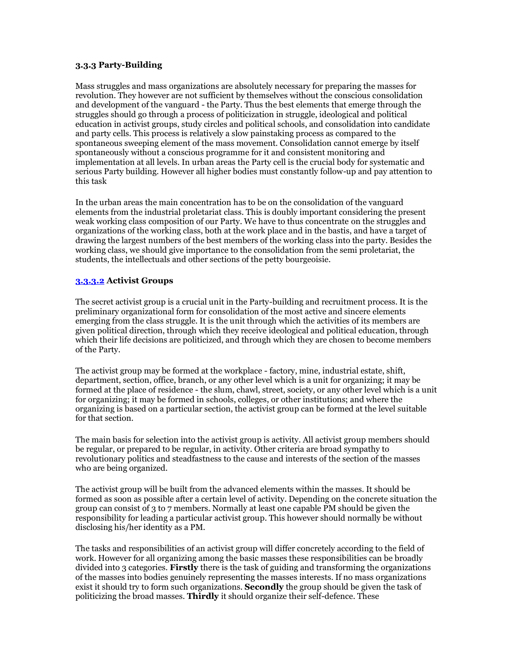# **3.3.3 Party-Building**

Mass struggles and mass organizations are absolutely necessary for preparing the masses for revolution. They however are not sufficient by themselves without the conscious consolidation and development of the vanguard - the Party. Thus the best elements that emerge through the struggles should go through a process of politicization in struggle, ideological and political education in activist groups, study circles and political schools, and consolidation into candidate and party cells. This process is relatively a slow painstaking process as compared to the spontaneous sweeping element of the mass movement. Consolidation cannot emerge by itself spontaneously without a conscious programme for it and consistent monitoring and implementation at all levels. In urban areas the Party cell is the crucial body for systematic and serious Party building. However all higher bodies must constantly follow-up and pay attention to this task

In the urban areas the main concentration has to be on the consolidation of the vanguard elements from the industrial proletariat class. This is doubly important considering the present weak working class composition of our Party. We have to thus concentrate on the struggles and organizations of the working class, both at the work place and in the bastis, and have a target of drawing the largest numbers of the best members of the working class into the party. Besides the working class, we should give importance to the consolidation from the semi proletariat, the students, the intellectuals and other sections of the petty bourgeoisie.

# **[3.3.3.2](http://3.3.3.2/) Activist Groups**

The secret activist group is a crucial unit in the Party-building and recruitment process. It is the preliminary organizational form for consolidation of the most active and sincere elements emerging from the class struggle. It is the unit through which the activities of its members are given political direction, through which they receive ideological and political education, through which their life decisions are politicized, and through which they are chosen to become members of the Party.

The activist group may be formed at the workplace - factory, mine, industrial estate, shift, department, section, office, branch, or any other level which is a unit for organizing; it may be formed at the place of residence - the slum, chawl, street, society, or any other level which is a unit for organizing; it may be formed in schools, colleges, or other institutions; and where the organizing is based on a particular section, the activist group can be formed at the level suitable for that section.

The main basis for selection into the activist group is activity. All activist group members should be regular, or prepared to be regular, in activity. Other criteria are broad sympathy to revolutionary politics and steadfastness to the cause and interests of the section of the masses who are being organized.

The activist group will be built from the advanced elements within the masses. It should be formed as soon as possible after a certain level of activity. Depending on the concrete situation the group can consist of 3 to 7 members. Normally at least one capable PM should be given the responsibility for leading a particular activist group. This however should normally be without disclosing his/her identity as a PM.

The tasks and responsibilities of an activist group will differ concretely according to the field of work. However for all organizing among the basic masses these responsibilities can be broadly divided into 3 categories. **Firstly** there is the task of guiding and transforming the organizations of the masses into bodies genuinely representing the masses interests. If no mass organizations exist it should try to form such organizations. **Secondly** the group should be given the task of politicizing the broad masses. **Thirdly** it should organize their self-defence. These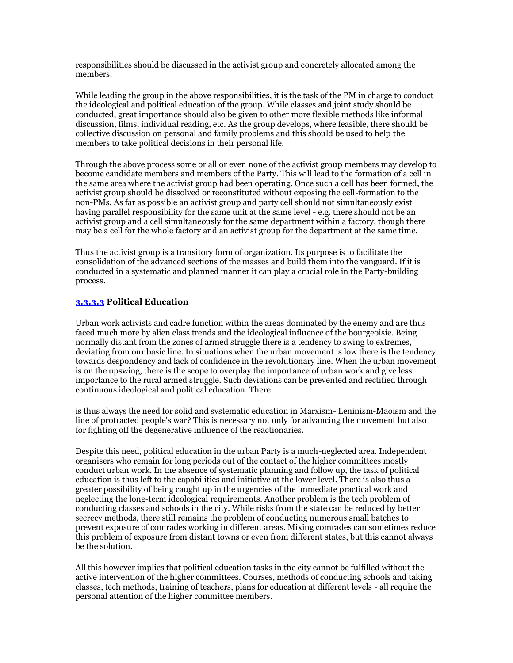responsibilities should be discussed in the activist group and concretely allocated among the members.

While leading the group in the above responsibilities, it is the task of the PM in charge to conduct the ideological and political education of the group. While classes and joint study should be conducted, great importance should also be given to other more flexible methods like informal discussion, films, individual reading, etc. As the group develops, where feasible, there should be collective discussion on personal and family problems and this should be used to help the members to take political decisions in their personal life.

Through the above process some or all or even none of the activist group members may develop to become candidate members and members of the Party. This will lead to the formation of a cell in the same area where the activist group had been operating. Once such a cell has been formed, the activist group should be dissolved or reconstituted without exposing the cell-formation to the non-PMs. As far as possible an activist group and party cell should not simultaneously exist having parallel responsibility for the same unit at the same level - e.g. there should not be an activist group and a cell simultaneously for the same department within a factory, though there may be a cell for the whole factory and an activist group for the department at the same time.

Thus the activist group is a transitory form of organization. Its purpose is to facilitate the consolidation of the advanced sections of the masses and build them into the vanguard. If it is conducted in a systematic and planned manner it can play a crucial role in the Party-building process.

# **[3.3.3.3](http://3.3.3.3/) Political Education**

Urban work activists and cadre function within the areas dominated by the enemy and are thus faced much more by alien class trends and the ideological influence of the bourgeoisie. Being normally distant from the zones of armed struggle there is a tendency to swing to extremes, deviating from our basic line. In situations when the urban movement is low there is the tendency towards despondency and lack of confidence in the revolutionary line. When the urban movement is on the upswing, there is the scope to overplay the importance of urban work and give less importance to the rural armed struggle. Such deviations can be prevented and rectified through continuous ideological and political education. There

is thus always the need for solid and systematic education in Marxism- Leninism-Maoism and the line of protracted people's war? This is necessary not only for advancing the movement but also for fighting off the degenerative influence of the reactionaries.

Despite this need, political education in the urban Party is a much-neglected area. Independent organisers who remain for long periods out of the contact of the higher committees mostly conduct urban work. In the absence of systematic planning and follow up, the task of political education is thus left to the capabilities and initiative at the lower level. There is also thus a greater possibility of being caught up in the urgencies of the immediate practical work and neglecting the long-term ideological requirements. Another problem is the tech problem of conducting classes and schools in the city. While risks from the state can be reduced by better secrecy methods, there still remains the problem of conducting numerous small batches to prevent exposure of comrades working in different areas. Mixing comrades can sometimes reduce this problem of exposure from distant towns or even from different states, but this cannot always be the solution.

All this however implies that political education tasks in the city cannot be fulfilled without the active intervention of the higher committees. Courses, methods of conducting schools and taking classes, tech methods, training of teachers, plans for education at different levels - all require the personal attention of the higher committee members.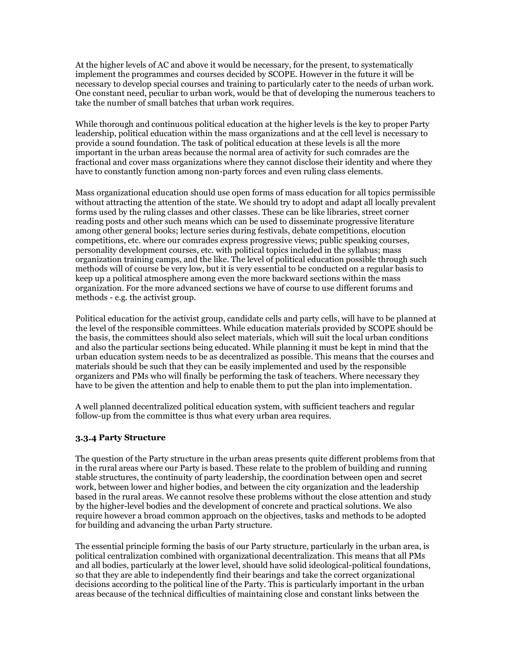At the higher levels of AC and above it would be necessary, for the present, to systematically implement the programmes and courses decided by SCOPE. However in the future it will be necessary to develop special courses and training to particularly cater to the needs of urban work. One constant need, peculiar to urban work, would be that of developing the numerous teachers to take the number of small batches that urban work requires.

While thorough and continuous political education at the higher levels is the key to proper Party leadership, political education within the mass organizations and at the cell level is necessary to provide a sound foundation. The task of political education at these levels is all the more important in the urban areas because the normal area of activity for such comrades are the fractional and cover mass organizations where they cannot disclose their identity and where they have to constantly function among non-party forces and even ruling class elements.

Mass organizational education should use open forms of mass education for all topics permissible without attracting the attention of the state. We should try to adopt and adapt all locally prevalent forms used by the ruling classes and other classes. These can be like libraries, street corner reading posts and other such means which can be used to disseminate progressive literature among other general books; lecture series during festivals, debate competitions, elocution competitions, etc. where our comrades express progressive views; public speaking courses, personality development courses, etc. with political topics included in the syllabus; mass organization training camps, and the like. The level of political education possible through such methods will of course be very low, but it is very essential to be conducted on a regular basis to keep up a political atmosphere among even the more backward sections within the mass organization. For the more advanced sections we have of course to use different forums and methods - e.g. the activist group.

Political education for the activist group, candidate cells and party cells, will have to be planned at the level of the responsible committees. While education materials provided by SCOPE should be the basis, the committees should also select materials, which will suit the local urban conditions and also the particular sections being educated. While planning it must be kept in mind that the urban education system needs to be as decentralized as possible. This means that the courses and materials should be such that they can be easily implemented and used by the responsible organizers and PMs who will finally be performing the task of teachers. Where necessary they have to be given the attention and help to enable them to put the plan into implementation.

A well planned decentralized political education system, with sufficient teachers and regular follow-up from the committee is thus what every urban area requires.

# **3.3.4 Party Structure**

The question of the Party structure in the urban areas presents quite different problems from that in the rural areas where our Party is based. These relate to the problem of building and running stable structures, the continuity of party leadership, the coordination between open and secret work, between lower and higher bodies, and between the city organization and the leadership based in the rural areas. We cannot resolve these problems without the close attention and study by the higher-level bodies and the development of concrete and practical solutions. We also require however a broad common approach on the objectives, tasks and methods to be adopted for building and advancing the urban Party structure.

The essential principle forming the basis of our Party structure, particularly in the urban area, is political centralization combined with organizational decentralization. This means that all PMs and all bodies, particularly at the lower level, should have solid ideological-political foundations, so that they are able to independently find their bearings and take the correct organizational decisions according to the political line of the Party. This is particularly important in the urban areas because of the technical difficulties of maintaining close and constant links between the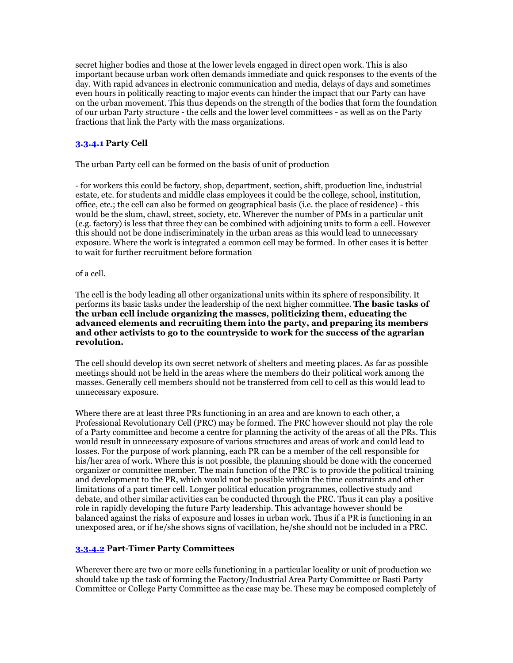secret higher bodies and those at the lower levels engaged in direct open work. This is also important because urban work often demands immediate and quick responses to the events of the day. With rapid advances in electronic communication and media, delays of days and sometimes even hours in politically reacting to major events can hinder the impact that our Party can have on the urban movement. This thus depends on the strength of the bodies that form the foundation of our urban Party structure - the cells and the lower level committees - as well as on the Party fractions that link the Party with the mass organizations.

# **[3.3.4.1](http://3.3.4.1/) Party Cell**

The urban Party cell can be formed on the basis of unit of production

- for workers this could be factory, shop, department, section, shift, production line, industrial estate, etc. for students and middle class employees it could be the college, school, institution, office, etc.; the cell can also be formed on geographical basis (i.e. the place of residence) - this would be the slum, chawl, street, society, etc. Wherever the number of PMs in a particular unit (e.g. factory) is less that three they can be combined with adjoining units to form a cell. However this should not be done indiscriminately in the urban areas as this would lead to unnecessary exposure. Where the work is integrated a common cell may be formed. In other cases it is better to wait for further recruitment before formation

#### of a cell.

The cell is the body leading all other organizational units within its sphere of responsibility. It performs its basic tasks under the leadership of the next higher committee. **The basic tasks of the urban cell include organizing the masses, politicizing them, educating the advanced elements and recruiting them into the party, and preparing its members and other activists to go to the countryside to work for the success of the agrarian revolution.** 

The cell should develop its own secret network of shelters and meeting places. As far as possible meetings should not be held in the areas where the members do their political work among the masses. Generally cell members should not be transferred from cell to cell as this would lead to unnecessary exposure.

Where there are at least three PRs functioning in an area and are known to each other, a Professional Revolutionary Cell (PRC) may be formed. The PRC however should not play the role of a Party committee and become a centre for planning the activity of the areas of all the PRs. This would result in unnecessary exposure of various structures and areas of work and could lead to losses. For the purpose of work planning, each PR can be a member of the cell responsible for his/her area of work. Where this is not possible, the planning should be done with the concerned organizer or committee member. The main function of the PRC is to provide the political training and development to the PR, which would not be possible within the time constraints and other limitations of a part timer cell. Longer political education programmes, collective study and debate, and other similar activities can be conducted through the PRC. Thus it can play a positive role in rapidly developing the future Party leadership. This advantage however should be balanced against the risks of exposure and losses in urban work. Thus if a PR is functioning in an unexposed area, or if he/she shows signs of vacillation, he/she should not be included in a PRC.

### **[3.3.4.2](http://3.3.4.2/) Part-Timer Party Committees**

Wherever there are two or more cells functioning in a particular locality or unit of production we should take up the task of forming the Factory/Industrial Area Party Committee or Basti Party Committee or College Party Committee as the case may be. These may be composed completely of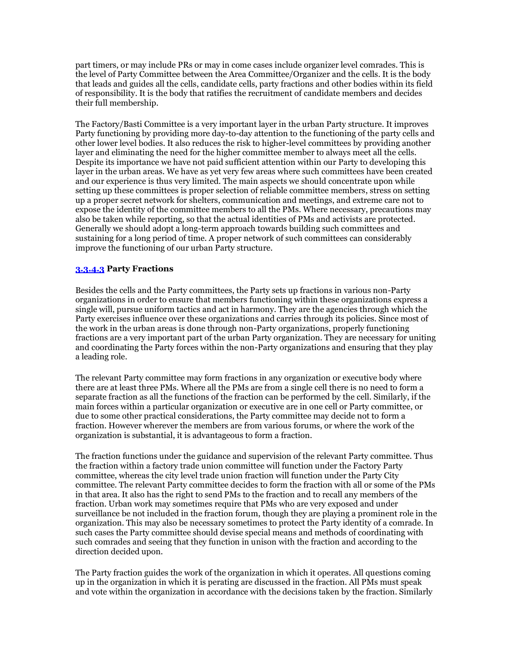part timers, or may include PRs or may in come cases include organizer level comrades. This is the level of Party Committee between the Area Committee/Organizer and the cells. It is the body that leads and guides all the cells, candidate cells, party fractions and other bodies within its field of responsibility. It is the body that ratifies the recruitment of candidate members and decides their full membership.

The Factory/Basti Committee is a very important layer in the urban Party structure. It improves Party functioning by providing more day-to-day attention to the functioning of the party cells and other lower level bodies. It also reduces the risk to higher-level committees by providing another layer and eliminating the need for the higher committee member to always meet all the cells. Despite its importance we have not paid sufficient attention within our Party to developing this layer in the urban areas. We have as yet very few areas where such committees have been created and our experience is thus very limited. The main aspects we should concentrate upon while setting up these committees is proper selection of reliable committee members, stress on setting up a proper secret network for shelters, communication and meetings, and extreme care not to expose the identity of the committee members to all the PMs. Where necessary, precautions may also be taken while reporting, so that the actual identities of PMs and activists are protected. Generally we should adopt a long-term approach towards building such committees and sustaining for a long period of time. A proper network of such committees can considerably improve the functioning of our urban Party structure.

#### **[3.3.4.3](http://3.3.4.3/) Party Fractions**

Besides the cells and the Party committees, the Party sets up fractions in various non-Party organizations in order to ensure that members functioning within these organizations express a single will, pursue uniform tactics and act in harmony. They are the agencies through which the Party exercises influence over these organizations and carries through its policies. Since most of the work in the urban areas is done through non-Party organizations, properly functioning fractions are a very important part of the urban Party organization. They are necessary for uniting and coordinating the Party forces within the non-Party organizations and ensuring that they play a leading role.

The relevant Party committee may form fractions in any organization or executive body where there are at least three PMs. Where all the PMs are from a single cell there is no need to form a separate fraction as all the functions of the fraction can be performed by the cell. Similarly, if the main forces within a particular organization or executive are in one cell or Party committee, or due to some other practical considerations, the Party committee may decide not to form a fraction. However wherever the members are from various forums, or where the work of the organization is substantial, it is advantageous to form a fraction.

The fraction functions under the guidance and supervision of the relevant Party committee. Thus the fraction within a factory trade union committee will function under the Factory Party committee, whereas the city level trade union fraction will function under the Party City committee. The relevant Party committee decides to form the fraction with all or some of the PMs in that area. It also has the right to send PMs to the fraction and to recall any members of the fraction. Urban work may sometimes require that PMs who are very exposed and under surveillance be not included in the fraction forum, though they are playing a prominent role in the organization. This may also be necessary sometimes to protect the Party identity of a comrade. In such cases the Party committee should devise special means and methods of coordinating with such comrades and seeing that they function in unison with the fraction and according to the direction decided upon.

The Party fraction guides the work of the organization in which it operates. All questions coming up in the organization in which it is perating are discussed in the fraction. All PMs must speak and vote within the organization in accordance with the decisions taken by the fraction. Similarly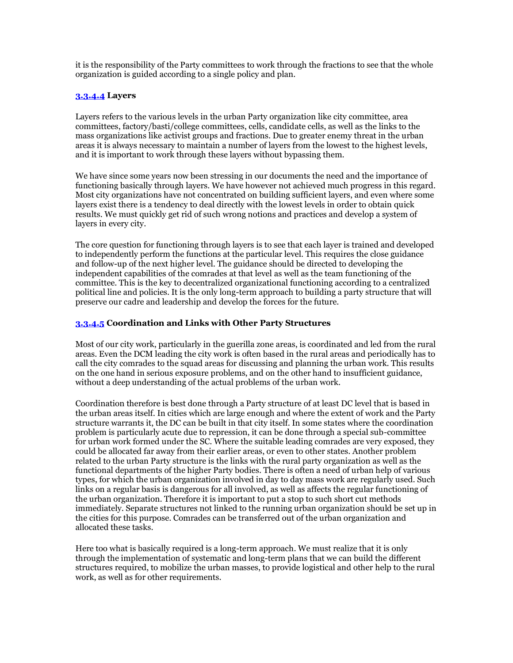it is the responsibility of the Party committees to work through the fractions to see that the whole organization is guided according to a single policy and plan.

# **[3.3.4.4](http://3.3.4.4/) Layers**

Layers refers to the various levels in the urban Party organization like city committee, area committees, factory/basti/college committees, cells, candidate cells, as well as the links to the mass organizations like activist groups and fractions. Due to greater enemy threat in the urban areas it is always necessary to maintain a number of layers from the lowest to the highest levels, and it is important to work through these layers without bypassing them.

We have since some years now been stressing in our documents the need and the importance of functioning basically through layers. We have however not achieved much progress in this regard. Most city organizations have not concentrated on building sufficient layers, and even where some layers exist there is a tendency to deal directly with the lowest levels in order to obtain quick results. We must quickly get rid of such wrong notions and practices and develop a system of layers in every city.

The core question for functioning through layers is to see that each layer is trained and developed to independently perform the functions at the particular level. This requires the close guidance and follow-up of the next higher level. The guidance should be directed to developing the independent capabilities of the comrades at that level as well as the team functioning of the committee. This is the key to decentralized organizational functioning according to a centralized political line and policies. It is the only long-term approach to building a party structure that will preserve our cadre and leadership and develop the forces for the future.

# **[3.3.4.5](http://3.3.4.5/) Coordination and Links with Other Party Structures**

Most of our city work, particularly in the guerilla zone areas, is coordinated and led from the rural areas. Even the DCM leading the city work is often based in the rural areas and periodically has to call the city comrades to the squad areas for discussing and planning the urban work. This results on the one hand in serious exposure problems, and on the other hand to insufficient guidance, without a deep understanding of the actual problems of the urban work.

Coordination therefore is best done through a Party structure of at least DC level that is based in the urban areas itself. In cities which are large enough and where the extent of work and the Party structure warrants it, the DC can be built in that city itself. In some states where the coordination problem is particularly acute due to repression, it can be done through a special sub-committee for urban work formed under the SC. Where the suitable leading comrades are very exposed, they could be allocated far away from their earlier areas, or even to other states. Another problem related to the urban Party structure is the links with the rural party organization as well as the functional departments of the higher Party bodies. There is often a need of urban help of various types, for which the urban organization involved in day to day mass work are regularly used. Such links on a regular basis is dangerous for all involved, as well as affects the regular functioning of the urban organization. Therefore it is important to put a stop to such short cut methods immediately. Separate structures not linked to the running urban organization should be set up in the cities for this purpose. Comrades can be transferred out of the urban organization and allocated these tasks.

Here too what is basically required is a long-term approach. We must realize that it is only through the implementation of systematic and long-term plans that we can build the different structures required, to mobilize the urban masses, to provide logistical and other help to the rural work, as well as for other requirements.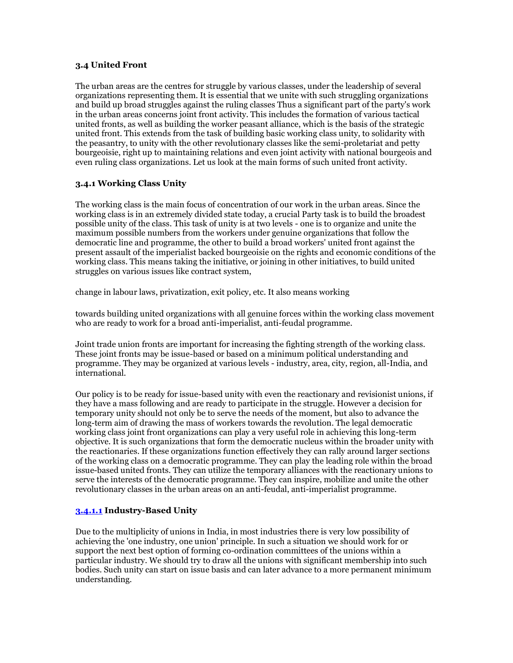# **3.4 United Front**

The urban areas are the centres for struggle by various classes, under the leadership of several organizations representing them. It is essential that we unite with such struggling organizations and build up broad struggles against the ruling classes Thus a significant part of the party's work in the urban areas concerns joint front activity. This includes the formation of various tactical united fronts, as well as building the worker peasant alliance, which is the basis of the strategic united front. This extends from the task of building basic working class unity, to solidarity with the peasantry, to unity with the other revolutionary classes like the semi-proletariat and petty bourgeoisie, right up to maintaining relations and even joint activity with national bourgeois and even ruling class organizations. Let us look at the main forms of such united front activity.

### **3.4.1 Working Class Unity**

The working class is the main focus of concentration of our work in the urban areas. Since the working class is in an extremely divided state today, a crucial Party task is to build the broadest possible unity of the class. This task of unity is at two levels - one is to organize and unite the maximum possible numbers from the workers under genuine organizations that follow the democratic line and programme, the other to build a broad workers' united front against the present assault of the imperialist backed bourgeoisie on the rights and economic conditions of the working class. This means taking the initiative, or joining in other initiatives, to build united struggles on various issues like contract system,

change in labour laws, privatization, exit policy, etc. It also means working

towards building united organizations with all genuine forces within the working class movement who are ready to work for a broad anti-imperialist, anti-feudal programme.

Joint trade union fronts are important for increasing the fighting strength of the working class. These joint fronts may be issue-based or based on a minimum political understanding and programme. They may be organized at various levels - industry, area, city, region, all-India, and international.

Our policy is to be ready for issue-based unity with even the reactionary and revisionist unions, if they have a mass following and are ready to participate in the struggle. However a decision for temporary unity should not only be to serve the needs of the moment, but also to advance the long-term aim of drawing the mass of workers towards the revolution. The legal democratic working class joint front organizations can play a very useful role in achieving this long-term objective. It is such organizations that form the democratic nucleus within the broader unity with the reactionaries. If these organizations function effectively they can rally around larger sections of the working class on a democratic programme. They can play the leading role within the broad issue-based united fronts. They can utilize the temporary alliances with the reactionary unions to serve the interests of the democratic programme. They can inspire, mobilize and unite the other revolutionary classes in the urban areas on an anti-feudal, anti-imperialist programme.

### **[3.4.1.1](http://3.4.1.1/) Industry-Based Unity**

Due to the multiplicity of unions in India, in most industries there is very low possibility of achieving the 'one industry, one union' principle. In such a situation we should work for or support the next best option of forming co-ordination committees of the unions within a particular industry. We should try to draw all the unions with significant membership into such bodies. Such unity can start on issue basis and can later advance to a more permanent minimum understanding.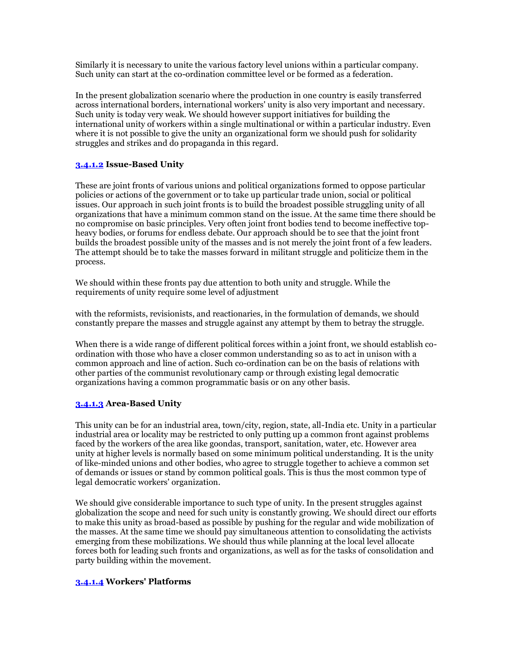Similarly it is necessary to unite the various factory level unions within a particular company. Such unity can start at the co-ordination committee level or be formed as a federation.

In the present globalization scenario where the production in one country is easily transferred across international borders, international workers' unity is also very important and necessary. Such unity is today very weak. We should however support initiatives for building the international unity of workers within a single multinational or within a particular industry. Even where it is not possible to give the unity an organizational form we should push for solidarity struggles and strikes and do propaganda in this regard.

# **[3.4.1.2](http://3.4.1.2/) Issue-Based Unity**

These are joint fronts of various unions and political organizations formed to oppose particular policies or actions of the government or to take up particular trade union, social or political issues. Our approach in such joint fronts is to build the broadest possible struggling unity of all organizations that have a minimum common stand on the issue. At the same time there should be no compromise on basic principles. Very often joint front bodies tend to become ineffective topheavy bodies, or forums for endless debate. Our approach should be to see that the joint front builds the broadest possible unity of the masses and is not merely the joint front of a few leaders. The attempt should be to take the masses forward in militant struggle and politicize them in the process.

We should within these fronts pay due attention to both unity and struggle. While the requirements of unity require some level of adjustment

with the reformists, revisionists, and reactionaries, in the formulation of demands, we should constantly prepare the masses and struggle against any attempt by them to betray the struggle.

When there is a wide range of different political forces within a joint front, we should establish coordination with those who have a closer common understanding so as to act in unison with a common approach and line of action. Such co-ordination can be on the basis of relations with other parties of the communist revolutionary camp or through existing legal democratic organizations having a common programmatic basis or on any other basis.

### **[3.4.1.3](http://3.4.1.3/) Area-Based Unity**

This unity can be for an industrial area, town/city, region, state, all-India etc. Unity in a particular industrial area or locality may be restricted to only putting up a common front against problems faced by the workers of the area like goondas, transport, sanitation, water, etc. However area unity at higher levels is normally based on some minimum political understanding. It is the unity of like-minded unions and other bodies, who agree to struggle together to achieve a common set of demands or issues or stand by common political goals. This is thus the most common type of legal democratic workers' organization.

We should give considerable importance to such type of unity. In the present struggles against globalization the scope and need for such unity is constantly growing. We should direct our efforts to make this unity as broad-based as possible by pushing for the regular and wide mobilization of the masses. At the same time we should pay simultaneous attention to consolidating the activists emerging from these mobilizations. We should thus while planning at the local level allocate forces both for leading such fronts and organizations, as well as for the tasks of consolidation and party building within the movement.

### **[3.4.1.4](http://3.4.1.4/) Workers' Platforms**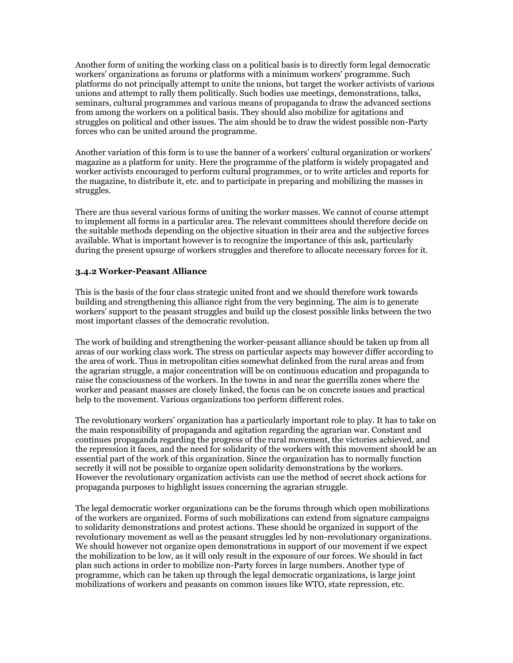Another form of uniting the working class on a political basis is to directly form legal democratic workers' organizations as forums or platforms with a minimum workers' programme. Such platforms do not principally attempt to unite the unions, but target the worker activists of various unions and attempt to rally them politically. Such bodies use meetings, demonstrations, talks, seminars, cultural programmes and various means of propaganda to draw the advanced sections from among the workers on a political basis. They should also mobilize for agitations and struggles on political and other issues. The aim should be to draw the widest possible non-Party forces who can be united around the programme.

Another variation of this form is to use the banner of a workers' cultural organization or workers' magazine as a platform for unity. Here the programme of the platform is widely propagated and worker activists encouraged to perform cultural programmes, or to write articles and reports for the magazine, to distribute it, etc. and to participate in preparing and mobilizing the masses in struggles.

There are thus several various forms of uniting the worker masses. We cannot of course attempt to implement all forms in a particular area. The relevant committees should therefore decide on the suitable methods depending on the objective situation in their area and the subjective forces available. What is important however is to recognize the importance of this ask, particularly during the present upsurge of workers struggles and therefore to allocate necessary forces for it.

# **3.4.2 Worker-Peasant Alliance**

This is the basis of the four class strategic united front and we should therefore work towards building and strengthening this alliance right from the very beginning. The aim is to generate workers' support to the peasant struggles and build up the closest possible links between the two most important classes of the democratic revolution.

The work of building and strengthening the worker-peasant alliance should be taken up from all areas of our working class work. The stress on particular aspects may however differ according to the area of work. Thus in metropolitan cities somewhat delinked from the rural areas and from the agrarian struggle, a major concentration will be on continuous education and propaganda to raise the consciousness of the workers. In the towns in and near the guerrilla zones where the worker and peasant masses are closely linked, the focus can be on concrete issues and practical help to the movement. Various organizations too perform different roles.

The revolutionary workers' organization has a particularly important role to play. It has to take on the main responsibility of propaganda and agitation regarding the agrarian war. Constant and continues propaganda regarding the progress of the rural movement, the victories achieved, and the repression it faces, and the need for solidarity of the workers with this movement should be an essential part of the work of this organization. Since the organization has to normally function secretly it will not be possible to organize open solidarity demonstrations by the workers. However the revolutionary organization activists can use the method of secret shock actions for propaganda purposes to highlight issues concerning the agrarian struggle.

The legal democratic worker organizations can be the forums through which open mobilizations of the workers are organized. Forms of such mobilizations can extend from signature campaigns to solidarity demonstrations and protest actions. These should be organized in support of the revolutionary movement as well as the peasant struggles led by non-revolutionary organizations. We should however not organize open demonstrations in support of our movement if we expect the mobilization to be low, as it will only result in the exposure of our forces. We should in fact plan such actions in order to mobilize non-Party forces in large numbers. Another type of programme, which can be taken up through the legal democratic organizations, is large joint mobilizations of workers and peasants on common issues like WTO, state repression, etc.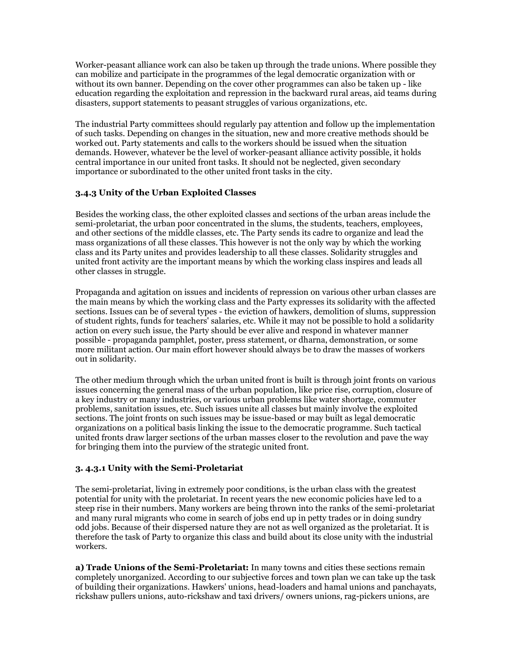Worker-peasant alliance work can also be taken up through the trade unions. Where possible they can mobilize and participate in the programmes of the legal democratic organization with or without its own banner. Depending on the cover other programmes can also be taken up - like education regarding the exploitation and repression in the backward rural areas, aid teams during disasters, support statements to peasant struggles of various organizations, etc.

The industrial Party committees should regularly pay attention and follow up the implementation of such tasks. Depending on changes in the situation, new and more creative methods should be worked out. Party statements and calls to the workers should be issued when the situation demands. However, whatever be the level of worker-peasant alliance activity possible, it holds central importance in our united front tasks. It should not be neglected, given secondary importance or subordinated to the other united front tasks in the city.

# **3.4.3 Unity of the Urban Exploited Classes**

Besides the working class, the other exploited classes and sections of the urban areas include the semi-proletariat, the urban poor concentrated in the slums, the students, teachers, employees, and other sections of the middle classes, etc. The Party sends its cadre to organize and lead the mass organizations of all these classes. This however is not the only way by which the working class and its Party unites and provides leadership to all these classes. Solidarity struggles and united front activity are the important means by which the working class inspires and leads all other classes in struggle.

Propaganda and agitation on issues and incidents of repression on various other urban classes are the main means by which the working class and the Party expresses its solidarity with the affected sections. Issues can be of several types - the eviction of hawkers, demolition of slums, suppression of student rights, funds for teachers' salaries, etc. While it may not be possible to hold a solidarity action on every such issue, the Party should be ever alive and respond in whatever manner possible - propaganda pamphlet, poster, press statement, or dharna, demonstration, or some more militant action. Our main effort however should always be to draw the masses of workers out in solidarity.

The other medium through which the urban united front is built is through joint fronts on various issues concerning the general mass of the urban population, like price rise, corruption, closure of a key industry or many industries, or various urban problems like water shortage, commuter problems, sanitation issues, etc. Such issues unite all classes but mainly involve the exploited sections. The joint fronts on such issues may be issue-based or may built as legal democratic organizations on a political basis linking the issue to the democratic programme. Such tactical united fronts draw larger sections of the urban masses closer to the revolution and pave the way for bringing them into the purview of the strategic united front.

### **3. 4.3.1 Unity with the Semi-Proletariat**

The semi-proletariat, living in extremely poor conditions, is the urban class with the greatest potential for unity with the proletariat. In recent years the new economic policies have led to a steep rise in their numbers. Many workers are being thrown into the ranks of the semi-proletariat and many rural migrants who come in search of jobs end up in petty trades or in doing sundry odd jobs. Because of their dispersed nature they are not as well organized as the proletariat. It is therefore the task of Party to organize this class and build about its close unity with the industrial workers.

**a) Trade Unions of the Semi-Proletariat:** In many towns and cities these sections remain completely unorganized. According to our subjective forces and town plan we can take up the task of building their organizations. Hawkers' unions, head-loaders and hamal unions and panchayats, rickshaw pullers unions, auto-rickshaw and taxi drivers/ owners unions, rag-pickers unions, are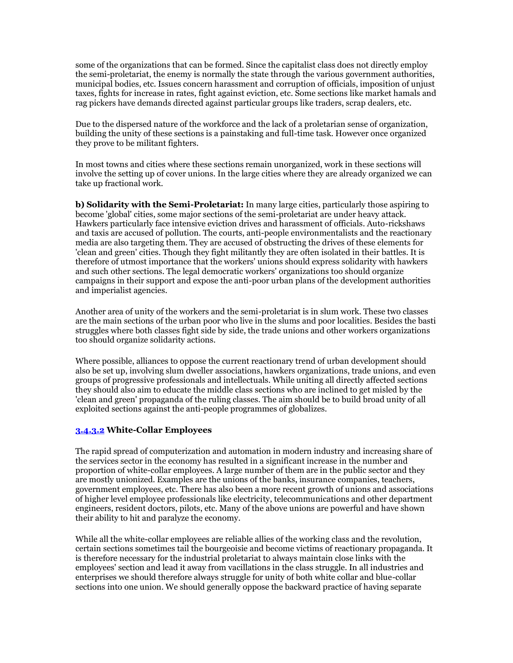some of the organizations that can be formed. Since the capitalist class does not directly employ the semi-proletariat, the enemy is normally the state through the various government authorities, municipal bodies, etc. Issues concern harassment and corruption of officials, imposition of unjust taxes, fights for increase in rates, fight against eviction, etc. Some sections like market hamals and rag pickers have demands directed against particular groups like traders, scrap dealers, etc.

Due to the dispersed nature of the workforce and the lack of a proletarian sense of organization, building the unity of these sections is a painstaking and full-time task. However once organized they prove to be militant fighters.

In most towns and cities where these sections remain unorganized, work in these sections will involve the setting up of cover unions. In the large cities where they are already organized we can take up fractional work.

**b) Solidarity with the Semi-Proletariat:** In many large cities, particularly those aspiring to become 'global' cities, some major sections of the semi-proletariat are under heavy attack. Hawkers particularly face intensive eviction drives and harassment of officials. Auto-rickshaws and taxis are accused of pollution. The courts, anti-people environmentalists and the reactionary media are also targeting them. They are accused of obstructing the drives of these elements for 'clean and green' cities. Though they fight militantly they are often isolated in their battles. It is therefore of utmost importance that the workers' unions should express solidarity with hawkers and such other sections. The legal democratic workers' organizations too should organize campaigns in their support and expose the anti-poor urban plans of the development authorities and imperialist agencies.

Another area of unity of the workers and the semi-proletariat is in slum work. These two classes are the main sections of the urban poor who live in the slums and poor localities. Besides the basti struggles where both classes fight side by side, the trade unions and other workers organizations too should organize solidarity actions.

Where possible, alliances to oppose the current reactionary trend of urban development should also be set up, involving slum dweller associations, hawkers organizations, trade unions, and even groups of progressive professionals and intellectuals. While uniting all directly affected sections they should also aim to educate the middle class sections who are inclined to get misled by the 'clean and green' propaganda of the ruling classes. The aim should be to build broad unity of all exploited sections against the anti-people programmes of globalizes.

### **[3.4.3.2](http://3.4.3.2/) White-Collar Employees**

The rapid spread of computerization and automation in modern industry and increasing share of the services sector in the economy has resulted in a significant increase in the number and proportion of white-collar employees. A large number of them are in the public sector and they are mostly unionized. Examples are the unions of the banks, insurance companies, teachers, government employees, etc. There has also been a more recent growth of unions and associations of higher level employee professionals like electricity, telecommunications and other department engineers, resident doctors, pilots, etc. Many of the above unions are powerful and have shown their ability to hit and paralyze the economy.

While all the white-collar employees are reliable allies of the working class and the revolution, certain sections sometimes tail the bourgeoisie and become victims of reactionary propaganda. It is therefore necessary for the industrial proletariat to always maintain close links with the employees' section and lead it away from vacillations in the class struggle. In all industries and enterprises we should therefore always struggle for unity of both white collar and blue-collar sections into one union. We should generally oppose the backward practice of having separate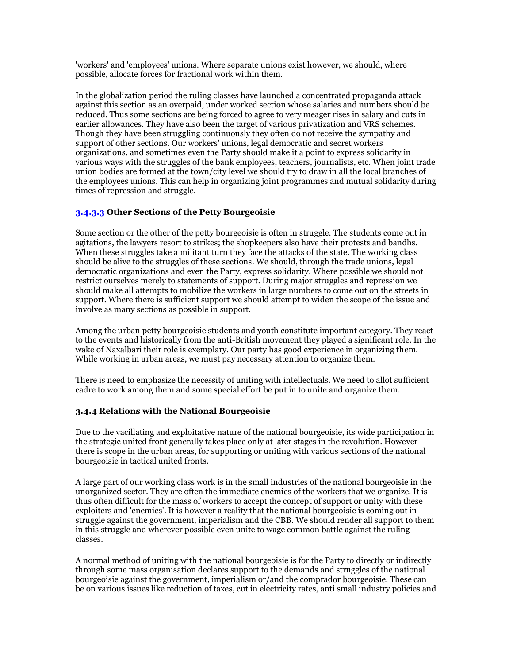'workers' and 'employees' unions. Where separate unions exist however, we should, where possible, allocate forces for fractional work within them.

In the globalization period the ruling classes have launched a concentrated propaganda attack against this section as an overpaid, under worked section whose salaries and numbers should be reduced. Thus some sections are being forced to agree to very meager rises in salary and cuts in earlier allowances. They have also been the target of various privatization and VRS schemes. Though they have been struggling continuously they often do not receive the sympathy and support of other sections. Our workers' unions, legal democratic and secret workers organizations, and sometimes even the Party should make it a point to express solidarity in various ways with the struggles of the bank employees, teachers, journalists, etc. When joint trade union bodies are formed at the town/city level we should try to draw in all the local branches of the employees unions. This can help in organizing joint programmes and mutual solidarity during times of repression and struggle.

# **[3.4.3.3](http://3.4.3.3/) Other Sections of the Petty Bourgeoisie**

Some section or the other of the petty bourgeoisie is often in struggle. The students come out in agitations, the lawyers resort to strikes; the shopkeepers also have their protests and bandhs. When these struggles take a militant turn they face the attacks of the state. The working class should be alive to the struggles of these sections. We should, through the trade unions, legal democratic organizations and even the Party, express solidarity. Where possible we should not restrict ourselves merely to statements of support. During major struggles and repression we should make all attempts to mobilize the workers in large numbers to come out on the streets in support. Where there is sufficient support we should attempt to widen the scope of the issue and involve as many sections as possible in support.

Among the urban petty bourgeoisie students and youth constitute important category. They react to the events and historically from the anti-British movement they played a significant role. In the wake of Naxalbari their role is exemplary. Our party has good experience in organizing them. While working in urban areas, we must pay necessary attention to organize them.

There is need to emphasize the necessity of uniting with intellectuals. We need to allot sufficient cadre to work among them and some special effort be put in to unite and organize them.

### **3.4.4 Relations with the National Bourgeoisie**

Due to the vacillating and exploitative nature of the national bourgeoisie, its wide participation in the strategic united front generally takes place only at later stages in the revolution. However there is scope in the urban areas, for supporting or uniting with various sections of the national bourgeoisie in tactical united fronts.

A large part of our working class work is in the small industries of the national bourgeoisie in the unorganized sector. They are often the immediate enemies of the workers that we organize. It is thus often difficult for the mass of workers to accept the concept of support or unity with these exploiters and 'enemies'. It is however a reality that the national bourgeoisie is coming out in struggle against the government, imperialism and the CBB. We should render all support to them in this struggle and wherever possible even unite to wage common battle against the ruling classes.

A normal method of uniting with the national bourgeoisie is for the Party to directly or indirectly through some mass organisation declares support to the demands and struggles of the national bourgeoisie against the government, imperialism or/and the comprador bourgeoisie. These can be on various issues like reduction of taxes, cut in electricity rates, anti small industry policies and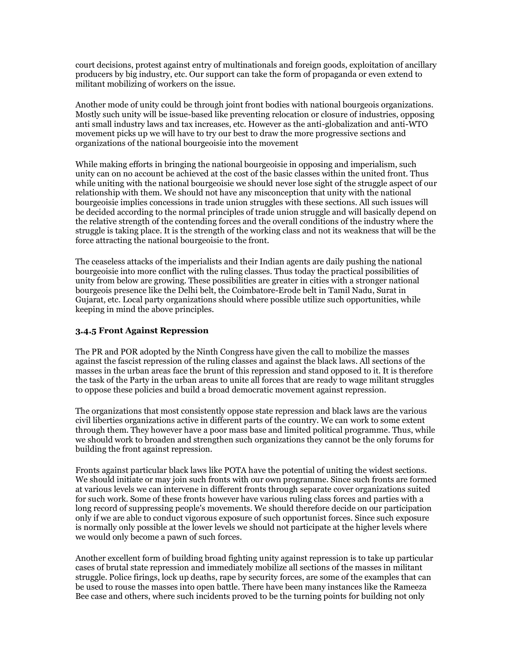court decisions, protest against entry of multinationals and foreign goods, exploitation of ancillary producers by big industry, etc. Our support can take the form of propaganda or even extend to militant mobilizing of workers on the issue.

Another mode of unity could be through joint front bodies with national bourgeois organizations. Mostly such unity will be issue-based like preventing relocation or closure of industries, opposing anti small industry laws and tax increases, etc. However as the anti-globalization and anti-WTO movement picks up we will have to try our best to draw the more progressive sections and organizations of the national bourgeoisie into the movement

While making efforts in bringing the national bourgeoisie in opposing and imperialism, such unity can on no account be achieved at the cost of the basic classes within the united front. Thus while uniting with the national bourgeoisie we should never lose sight of the struggle aspect of our relationship with them. We should not have any misconception that unity with the national bourgeoisie implies concessions in trade union struggles with these sections. All such issues will be decided according to the normal principles of trade union struggle and will basically depend on the relative strength of the contending forces and the overall conditions of the industry where the struggle is taking place. It is the strength of the working class and not its weakness that will be the force attracting the national bourgeoisie to the front.

The ceaseless attacks of the imperialists and their Indian agents are daily pushing the national bourgeoisie into more conflict with the ruling classes. Thus today the practical possibilities of unity from below are growing. These possibilities are greater in cities with a stronger national bourgeois presence like the Delhi belt, the Coimbatore-Erode belt in Tamil Nadu, Surat in Gujarat, etc. Local party organizations should where possible utilize such opportunities, while keeping in mind the above principles.

# **3.4.5 Front Against Repression**

The PR and POR adopted by the Ninth Congress have given the call to mobilize the masses against the fascist repression of the ruling classes and against the black laws. All sections of the masses in the urban areas face the brunt of this repression and stand opposed to it. It is therefore the task of the Party in the urban areas to unite all forces that are ready to wage militant struggles to oppose these policies and build a broad democratic movement against repression.

The organizations that most consistently oppose state repression and black laws are the various civil liberties organizations active in different parts of the country. We can work to some extent through them. They however have a poor mass base and limited political programme. Thus, while we should work to broaden and strengthen such organizations they cannot be the only forums for building the front against repression.

Fronts against particular black laws like POTA have the potential of uniting the widest sections. We should initiate or may join such fronts with our own programme. Since such fronts are formed at various levels we can intervene in different fronts through separate cover organizations suited for such work. Some of these fronts however have various ruling class forces and parties with a long record of suppressing people's movements. We should therefore decide on our participation only if we are able to conduct vigorous exposure of such opportunist forces. Since such exposure is normally only possible at the lower levels we should not participate at the higher levels where we would only become a pawn of such forces.

Another excellent form of building broad fighting unity against repression is to take up particular cases of brutal state repression and immediately mobilize all sections of the masses in militant struggle. Police firings, lock up deaths, rape by security forces, are some of the examples that can be used to rouse the masses into open battle. There have been many instances like the Rameeza Bee case and others, where such incidents proved to be the turning points for building not only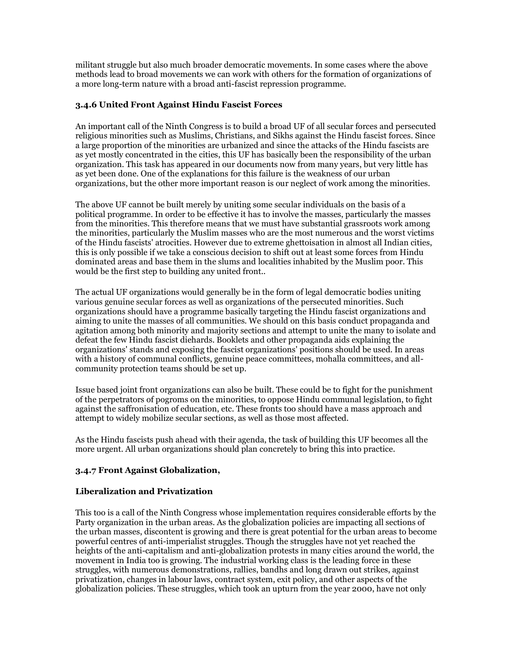militant struggle but also much broader democratic movements. In some cases where the above methods lead to broad movements we can work with others for the formation of organizations of a more long-term nature with a broad anti-fascist repression programme.

# **3.4.6 United Front Against Hindu Fascist Forces**

An important call of the Ninth Congress is to build a broad UF of all secular forces and persecuted religious minorities such as Muslims, Christians, and Sikhs against the Hindu fascist forces. Since a large proportion of the minorities are urbanized and since the attacks of the Hindu fascists are as yet mostly concentrated in the cities, this UF has basically been the responsibility of the urban organization. This task has appeared in our documents now from many years, but very little has as yet been done. One of the explanations for this failure is the weakness of our urban organizations, but the other more important reason is our neglect of work among the minorities.

The above UF cannot be built merely by uniting some secular individuals on the basis of a political programme. In order to be effective it has to involve the masses, particularly the masses from the minorities. This therefore means that we must have substantial grassroots work among the minorities, particularly the Muslim masses who are the most numerous and the worst victims of the Hindu fascists' atrocities. However due to extreme ghettoisation in almost all Indian cities, this is only possible if we take a conscious decision to shift out at least some forces from Hindu dominated areas and base them in the slums and localities inhabited by the Muslim poor. This would be the first step to building any united front..

The actual UF organizations would generally be in the form of legal democratic bodies uniting various genuine secular forces as well as organizations of the persecuted minorities. Such organizations should have a programme basically targeting the Hindu fascist organizations and aiming to unite the masses of all communities. We should on this basis conduct propaganda and agitation among both minority and majority sections and attempt to unite the many to isolate and defeat the few Hindu fascist diehards. Booklets and other propaganda aids explaining the organizations' stands and exposing the fascist organizations' positions should be used. In areas with a history of communal conflicts, genuine peace committees, mohalla committees, and allcommunity protection teams should be set up.

Issue based joint front organizations can also be built. These could be to fight for the punishment of the perpetrators of pogroms on the minorities, to oppose Hindu communal legislation, to fight against the saffronisation of education, etc. These fronts too should have a mass approach and attempt to widely mobilize secular sections, as well as those most affected.

As the Hindu fascists push ahead with their agenda, the task of building this UF becomes all the more urgent. All urban organizations should plan concretely to bring this into practice.

# **3.4.7 Front Against Globalization,**

# **Liberalization and Privatization**

This too is a call of the Ninth Congress whose implementation requires considerable efforts by the Party organization in the urban areas. As the globalization policies are impacting all sections of the urban masses, discontent is growing and there is great potential for the urban areas to become powerful centres of anti-imperialist struggles. Though the struggles have not yet reached the heights of the anti-capitalism and anti-globalization protests in many cities around the world, the movement in India too is growing. The industrial working class is the leading force in these struggles, with numerous demonstrations, rallies, bandhs and long drawn out strikes, against privatization, changes in labour laws, contract system, exit policy, and other aspects of the globalization policies. These struggles, which took an upturn from the year 2000, have not only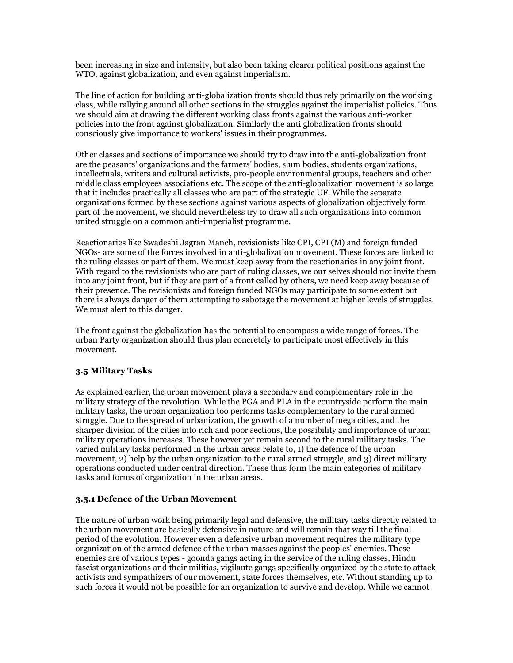been increasing in size and intensity, but also been taking clearer political positions against the WTO, against globalization, and even against imperialism.

The line of action for building anti-globalization fronts should thus rely primarily on the working class, while rallying around all other sections in the struggles against the imperialist policies. Thus we should aim at drawing the different working class fronts against the various anti-worker policies into the front against globalization. Similarly the anti globalization fronts should consciously give importance to workers' issues in their programmes.

Other classes and sections of importance we should try to draw into the anti-globalization front are the peasants' organizations and the farmers' bodies, slum bodies, students organizations, intellectuals, writers and cultural activists, pro-people environmental groups, teachers and other middle class employees associations etc. The scope of the anti-globalization movement is so large that it includes practically all classes who are part of the strategic UF. While the separate organizations formed by these sections against various aspects of globalization objectively form part of the movement, we should nevertheless try to draw all such organizations into common united struggle on a common anti-imperialist programme.

Reactionaries like Swadeshi Jagran Manch, revisionists like CPI, CPI (M) and foreign funded NGOs- are some of the forces involved in anti-globalization movement. These forces are linked to the ruling classes or part of them. We must keep away from the reactionaries in any joint front. With regard to the revisionists who are part of ruling classes, we our selves should not invite them into any joint front, but if they are part of a front called by others, we need keep away because of their presence. The revisionists and foreign funded NGOs may participate to some extent but there is always danger of them attempting to sabotage the movement at higher levels of struggles. We must alert to this danger.

The front against the globalization has the potential to encompass a wide range of forces. The urban Party organization should thus plan concretely to participate most effectively in this movement.

### **3.5 Military Tasks**

As explained earlier, the urban movement plays a secondary and complementary role in the military strategy of the revolution. While the PGA and PLA in the countryside perform the main military tasks, the urban organization too performs tasks complementary to the rural armed struggle. Due to the spread of urbanization, the growth of a number of mega cities, and the sharper division of the cities into rich and poor sections, the possibility and importance of urban military operations increases. These however yet remain second to the rural military tasks. The varied military tasks performed in the urban areas relate to, 1) the defence of the urban movement, 2) help by the urban organization to the rural armed struggle, and 3) direct military operations conducted under central direction. These thus form the main categories of military tasks and forms of organization in the urban areas.

### **3.5.1 Defence of the Urban Movement**

The nature of urban work being primarily legal and defensive, the military tasks directly related to the urban movement are basically defensive in nature and will remain that way till the final period of the evolution. However even a defensive urban movement requires the military type organization of the armed defence of the urban masses against the peoples' enemies. These enemies are of various types - goonda gangs acting in the service of the ruling classes, Hindu fascist organizations and their militias, vigilante gangs specifically organized by the state to attack activists and sympathizers of our movement, state forces themselves, etc. Without standing up to such forces it would not be possible for an organization to survive and develop. While we cannot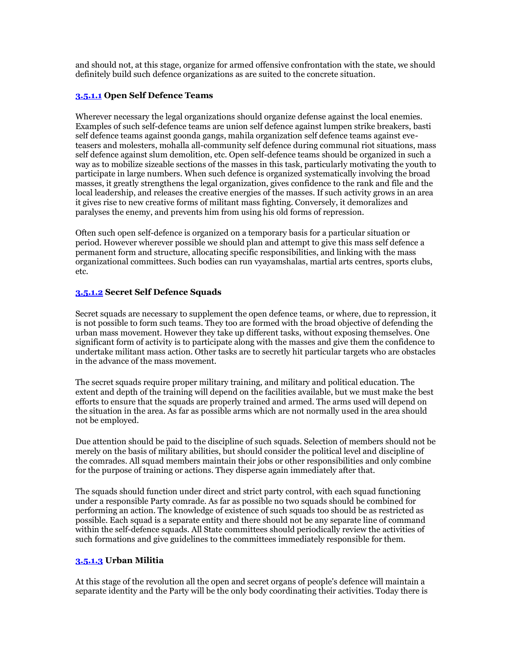and should not, at this stage, organize for armed offensive confrontation with the state, we should definitely build such defence organizations as are suited to the concrete situation.

### **[3.5.1.1](http://3.5.1.1/) Open Self Defence Teams**

Wherever necessary the legal organizations should organize defense against the local enemies. Examples of such self-defence teams are union self defence against lumpen strike breakers, basti self defence teams against goonda gangs, mahila organization self defence teams against eveteasers and molesters, mohalla all-community self defence during communal riot situations, mass self defence against slum demolition, etc. Open self-defence teams should be organized in such a way as to mobilize sizeable sections of the masses in this task, particularly motivating the youth to participate in large numbers. When such defence is organized systematically involving the broad masses, it greatly strengthens the legal organization, gives confidence to the rank and file and the local leadership, and releases the creative energies of the masses. If such activity grows in an area it gives rise to new creative forms of militant mass fighting. Conversely, it demoralizes and paralyses the enemy, and prevents him from using his old forms of repression.

Often such open self-defence is organized on a temporary basis for a particular situation or period. However wherever possible we should plan and attempt to give this mass self defence a permanent form and structure, allocating specific responsibilities, and linking with the mass organizational committees. Such bodies can run vyayamshalas, martial arts centres, sports clubs, etc.

# **[3.5.1.2](http://3.5.1.2/) Secret Self Defence Squads**

Secret squads are necessary to supplement the open defence teams, or where, due to repression, it is not possible to form such teams. They too are formed with the broad objective of defending the urban mass movement. However they take up different tasks, without exposing themselves. One significant form of activity is to participate along with the masses and give them the confidence to undertake militant mass action. Other tasks are to secretly hit particular targets who are obstacles in the advance of the mass movement.

The secret squads require proper military training, and military and political education. The extent and depth of the training will depend on the facilities available, but we must make the best efforts to ensure that the squads are properly trained and armed. The arms used will depend on the situation in the area. As far as possible arms which are not normally used in the area should not be employed.

Due attention should be paid to the discipline of such squads. Selection of members should not be merely on the basis of military abilities, but should consider the political level and discipline of the comrades. All squad members maintain their jobs or other responsibilities and only combine for the purpose of training or actions. They disperse again immediately after that.

The squads should function under direct and strict party control, with each squad functioning under a responsible Party comrade. As far as possible no two squads should be combined for performing an action. The knowledge of existence of such squads too should be as restricted as possible. Each squad is a separate entity and there should not be any separate line of command within the self-defence squads. All State committees should periodically review the activities of such formations and give guidelines to the committees immediately responsible for them.

### **[3.5.1.3](http://3.5.1.3/) Urban Militia**

At this stage of the revolution all the open and secret organs of people's defence will maintain a separate identity and the Party will be the only body coordinating their activities. Today there is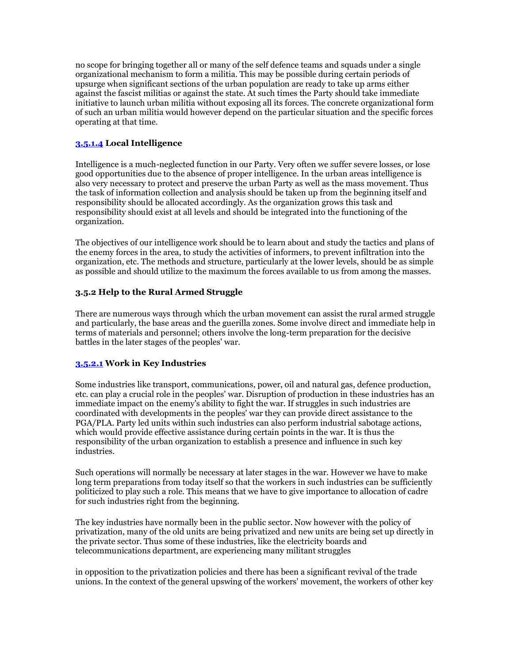no scope for bringing together all or many of the self defence teams and squads under a single organizational mechanism to form a militia. This may be possible during certain periods of upsurge when significant sections of the urban population are ready to take up arms either against the fascist militias or against the state. At such times the Party should take immediate initiative to launch urban militia without exposing all its forces. The concrete organizational form of such an urban militia would however depend on the particular situation and the specific forces operating at that time.

# **[3.5.1.4](http://3.5.1.4/) Local Intelligence**

Intelligence is a much-neglected function in our Party. Very often we suffer severe losses, or lose good opportunities due to the absence of proper intelligence. In the urban areas intelligence is also very necessary to protect and preserve the urban Party as well as the mass movement. Thus the task of information collection and analysis should be taken up from the beginning itself and responsibility should be allocated accordingly. As the organization grows this task and responsibility should exist at all levels and should be integrated into the functioning of the organization.

The objectives of our intelligence work should be to learn about and study the tactics and plans of the enemy forces in the area, to study the activities of informers, to prevent infiltration into the organization, etc. The methods and structure, particularly at the lower levels, should be as simple as possible and should utilize to the maximum the forces available to us from among the masses.

# **3.5.2 Help to the Rural Armed Struggle**

There are numerous ways through which the urban movement can assist the rural armed struggle and particularly, the base areas and the guerilla zones. Some involve direct and immediate help in terms of materials and personnel; others involve the long-term preparation for the decisive battles in the later stages of the peoples' war.

# **[3.5.2.1](http://3.5.2.1/) Work in Key Industries**

Some industries like transport, communications, power, oil and natural gas, defence production, etc. can play a crucial role in the peoples' war. Disruption of production in these industries has an immediate impact on the enemy's ability to fight the war. If struggles in such industries are coordinated with developments in the peoples' war they can provide direct assistance to the PGA/PLA. Party led units within such industries can also perform industrial sabotage actions, which would provide effective assistance during certain points in the war. It is thus the responsibility of the urban organization to establish a presence and influence in such key industries.

Such operations will normally be necessary at later stages in the war. However we have to make long term preparations from today itself so that the workers in such industries can be sufficiently politicized to play such a role. This means that we have to give importance to allocation of cadre for such industries right from the beginning.

The key industries have normally been in the public sector. Now however with the policy of privatization, many of the old units are being privatized and new units are being set up directly in the private sector. Thus some of these industries, like the electricity boards and telecommunications department, are experiencing many militant struggles

in opposition to the privatization policies and there has been a significant revival of the trade unions. In the context of the general upswing of the workers' movement, the workers of other key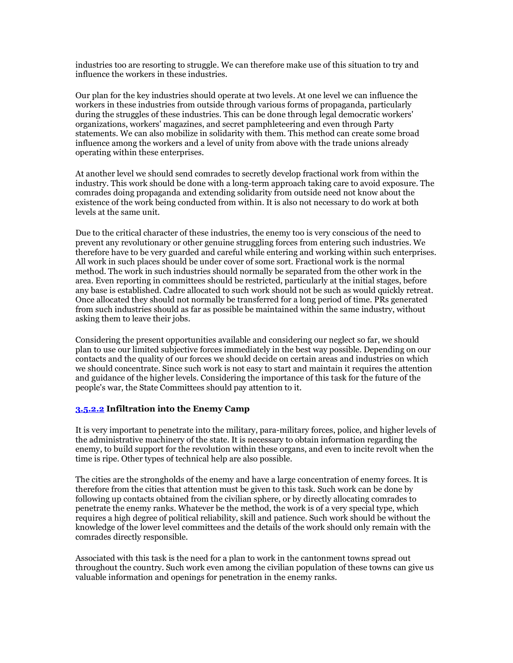industries too are resorting to struggle. We can therefore make use of this situation to try and influence the workers in these industries.

Our plan for the key industries should operate at two levels. At one level we can influence the workers in these industries from outside through various forms of propaganda, particularly during the struggles of these industries. This can be done through legal democratic workers' organizations, workers' magazines, and secret pamphleteering and even through Party statements. We can also mobilize in solidarity with them. This method can create some broad influence among the workers and a level of unity from above with the trade unions already operating within these enterprises.

At another level we should send comrades to secretly develop fractional work from within the industry. This work should be done with a long-term approach taking care to avoid exposure. The comrades doing propaganda and extending solidarity from outside need not know about the existence of the work being conducted from within. It is also not necessary to do work at both levels at the same unit.

Due to the critical character of these industries, the enemy too is very conscious of the need to prevent any revolutionary or other genuine struggling forces from entering such industries. We therefore have to be very guarded and careful while entering and working within such enterprises. All work in such places should be under cover of some sort. Fractional work is the normal method. The work in such industries should normally be separated from the other work in the area. Even reporting in committees should be restricted, particularly at the initial stages, before any base is established. Cadre allocated to such work should not be such as would quickly retreat. Once allocated they should not normally be transferred for a long period of time. PRs generated from such industries should as far as possible be maintained within the same industry, without asking them to leave their jobs.

Considering the present opportunities available and considering our neglect so far, we should plan to use our limited subjective forces immediately in the best way possible. Depending on our contacts and the quality of our forces we should decide on certain areas and industries on which we should concentrate. Since such work is not easy to start and maintain it requires the attention and guidance of the higher levels. Considering the importance of this task for the future of the people's war, the State Committees should pay attention to it.

### **[3.5.2.2](http://3.5.2.2/) Infiltration into the Enemy Camp**

It is very important to penetrate into the military, para-military forces, police, and higher levels of the administrative machinery of the state. It is necessary to obtain information regarding the enemy, to build support for the revolution within these organs, and even to incite revolt when the time is ripe. Other types of technical help are also possible.

The cities are the strongholds of the enemy and have a large concentration of enemy forces. It is therefore from the cities that attention must be given to this task. Such work can be done by following up contacts obtained from the civilian sphere, or by directly allocating comrades to penetrate the enemy ranks. Whatever be the method, the work is of a very special type, which requires a high degree of political reliability, skill and patience. Such work should be without the knowledge of the lower level committees and the details of the work should only remain with the comrades directly responsible.

Associated with this task is the need for a plan to work in the cantonment towns spread out throughout the country. Such work even among the civilian population of these towns can give us valuable information and openings for penetration in the enemy ranks.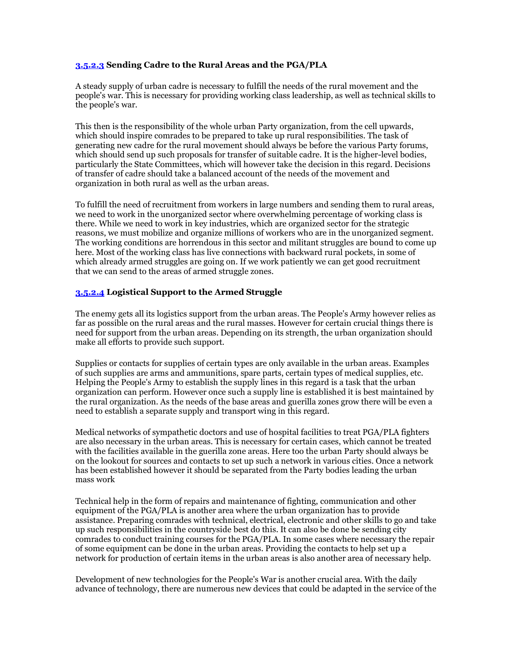# **[3.5.2.3](http://3.5.2.3/) Sending Cadre to the Rural Areas and the PGA/PLA**

A steady supply of urban cadre is necessary to fulfill the needs of the rural movement and the people's war. This is necessary for providing working class leadership, as well as technical skills to the people's war.

This then is the responsibility of the whole urban Party organization, from the cell upwards, which should inspire comrades to be prepared to take up rural responsibilities. The task of generating new cadre for the rural movement should always be before the various Party forums, which should send up such proposals for transfer of suitable cadre. It is the higher-level bodies, particularly the State Committees, which will however take the decision in this regard. Decisions of transfer of cadre should take a balanced account of the needs of the movement and organization in both rural as well as the urban areas.

To fulfill the need of recruitment from workers in large numbers and sending them to rural areas, we need to work in the unorganized sector where overwhelming percentage of working class is there. While we need to work in key industries, which are organized sector for the strategic reasons, we must mobilize and organize millions of workers who are in the unorganized segment. The working conditions are horrendous in this sector and militant struggles are bound to come up here. Most of the working class has live connections with backward rural pockets, in some of which already armed struggles are going on. If we work patiently we can get good recruitment that we can send to the areas of armed struggle zones.

### **[3.5.2.4](http://3.5.2.4/) Logistical Support to the Armed Struggle**

The enemy gets all its logistics support from the urban areas. The People's Army however relies as far as possible on the rural areas and the rural masses. However for certain crucial things there is need for support from the urban areas. Depending on its strength, the urban organization should make all efforts to provide such support.

Supplies or contacts for supplies of certain types are only available in the urban areas. Examples of such supplies are arms and ammunitions, spare parts, certain types of medical supplies, etc. Helping the People's Army to establish the supply lines in this regard is a task that the urban organization can perform. However once such a supply line is established it is best maintained by the rural organization. As the needs of the base areas and guerilla zones grow there will be even a need to establish a separate supply and transport wing in this regard.

Medical networks of sympathetic doctors and use of hospital facilities to treat PGA/PLA fighters are also necessary in the urban areas. This is necessary for certain cases, which cannot be treated with the facilities available in the guerilla zone areas. Here too the urban Party should always be on the lookout for sources and contacts to set up such a network in various cities. Once a network has been established however it should be separated from the Party bodies leading the urban mass work

Technical help in the form of repairs and maintenance of fighting, communication and other equipment of the PGA/PLA is another area where the urban organization has to provide assistance. Preparing comrades with technical, electrical, electronic and other skills to go and take up such responsibilities in the countryside best do this. It can also be done be sending city comrades to conduct training courses for the PGA/PLA. In some cases where necessary the repair of some equipment can be done in the urban areas. Providing the contacts to help set up a network for production of certain items in the urban areas is also another area of necessary help.

Development of new technologies for the People's War is another crucial area. With the daily advance of technology, there are numerous new devices that could be adapted in the service of the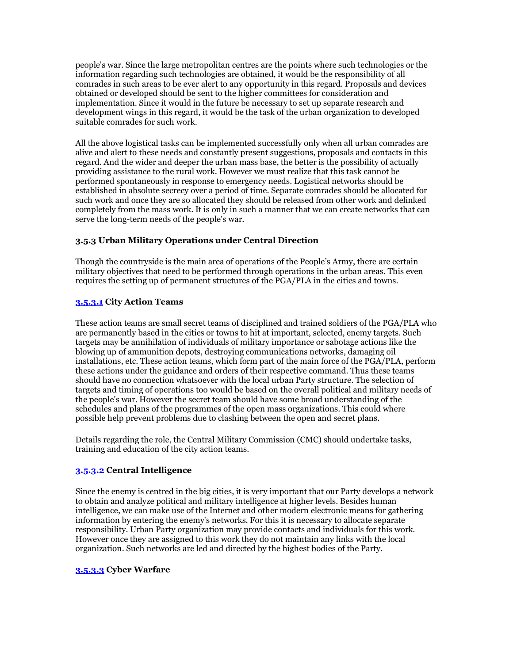people's war. Since the large metropolitan centres are the points where such technologies or the information regarding such technologies are obtained, it would be the responsibility of all comrades in such areas to be ever alert to any opportunity in this regard. Proposals and devices obtained or developed should be sent to the higher committees for consideration and implementation. Since it would in the future be necessary to set up separate research and development wings in this regard, it would be the task of the urban organization to developed suitable comrades for such work.

All the above logistical tasks can be implemented successfully only when all urban comrades are alive and alert to these needs and constantly present suggestions, proposals and contacts in this regard. And the wider and deeper the urban mass base, the better is the possibility of actually providing assistance to the rural work. However we must realize that this task cannot be performed spontaneously in response to emergency needs. Logistical networks should be established in absolute secrecy over a period of time. Separate comrades should be allocated for such work and once they are so allocated they should be released from other work and delinked completely from the mass work. It is only in such a manner that we can create networks that can serve the long-term needs of the people's war.

# **3.5.3 Urban Military Operations under Central Direction**

Though the countryside is the main area of operations of the People's Army, there are certain military objectives that need to be performed through operations in the urban areas. This even requires the setting up of permanent structures of the PGA/PLA in the cities and towns.

# **[3.5.3.1](http://3.5.3.1/) City Action Teams**

These action teams are small secret teams of disciplined and trained soldiers of the PGA/PLA who are permanently based in the cities or towns to hit at important, selected, enemy targets. Such targets may be annihilation of individuals of military importance or sabotage actions like the blowing up of ammunition depots, destroying communications networks, damaging oil installations, etc. These action teams, which form part of the main force of the PGA/PLA, perform these actions under the guidance and orders of their respective command. Thus these teams should have no connection whatsoever with the local urban Party structure. The selection of targets and timing of operations too would be based on the overall political and military needs of the people's war. However the secret team should have some broad understanding of the schedules and plans of the programmes of the open mass organizations. This could where possible help prevent problems due to clashing between the open and secret plans.

Details regarding the role, the Central Military Commission (CMC) should undertake tasks, training and education of the city action teams.

### **[3.5.3.2](http://3.5.3.2/) Central Intelligence**

Since the enemy is centred in the big cities, it is very important that our Party develops a network to obtain and analyze political and military intelligence at higher levels. Besides human intelligence, we can make use of the Internet and other modern electronic means for gathering information by entering the enemy's networks. For this it is necessary to allocate separate responsibility. Urban Party organization may provide contacts and individuals for this work. However once they are assigned to this work they do not maintain any links with the local organization. Such networks are led and directed by the highest bodies of the Party.

### **[3.5.3.3](http://3.5.3.3/) Cyber Warfare**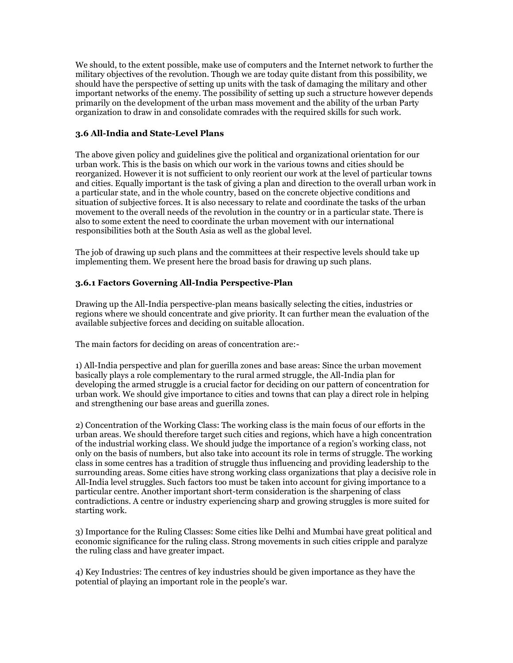We should, to the extent possible, make use of computers and the Internet network to further the military objectives of the revolution. Though we are today quite distant from this possibility, we should have the perspective of setting up units with the task of damaging the military and other important networks of the enemy. The possibility of setting up such a structure however depends primarily on the development of the urban mass movement and the ability of the urban Party organization to draw in and consolidate comrades with the required skills for such work.

# **3.6 All-India and State-Level Plans**

The above given policy and guidelines give the political and organizational orientation for our urban work. This is the basis on which our work in the various towns and cities should be reorganized. However it is not sufficient to only reorient our work at the level of particular towns and cities. Equally important is the task of giving a plan and direction to the overall urban work in a particular state, and in the whole country, based on the concrete objective conditions and situation of subjective forces. It is also necessary to relate and coordinate the tasks of the urban movement to the overall needs of the revolution in the country or in a particular state. There is also to some extent the need to coordinate the urban movement with our international responsibilities both at the South Asia as well as the global level.

The job of drawing up such plans and the committees at their respective levels should take up implementing them. We present here the broad basis for drawing up such plans.

# **3.6.1 Factors Governing All-India Perspective-Plan**

Drawing up the All-India perspective-plan means basically selecting the cities, industries or regions where we should concentrate and give priority. It can further mean the evaluation of the available subjective forces and deciding on suitable allocation.

The main factors for deciding on areas of concentration are:-

1) All-India perspective and plan for guerilla zones and base areas: Since the urban movement basically plays a role complementary to the rural armed struggle, the All-India plan for developing the armed struggle is a crucial factor for deciding on our pattern of concentration for urban work. We should give importance to cities and towns that can play a direct role in helping and strengthening our base areas and guerilla zones.

2) Concentration of the Working Class: The working class is the main focus of our efforts in the urban areas. We should therefore target such cities and regions, which have a high concentration of the industrial working class. We should judge the importance of a region's working class, not only on the basis of numbers, but also take into account its role in terms of struggle. The working class in some centres has a tradition of struggle thus influencing and providing leadership to the surrounding areas. Some cities have strong working class organizations that play a decisive role in All-India level struggles. Such factors too must be taken into account for giving importance to a particular centre. Another important short-term consideration is the sharpening of class contradictions. A centre or industry experiencing sharp and growing struggles is more suited for starting work.

3) Importance for the Ruling Classes: Some cities like Delhi and Mumbai have great political and economic significance for the ruling class. Strong movements in such cities cripple and paralyze the ruling class and have greater impact.

4) Key Industries: The centres of key industries should be given importance as they have the potential of playing an important role in the people's war.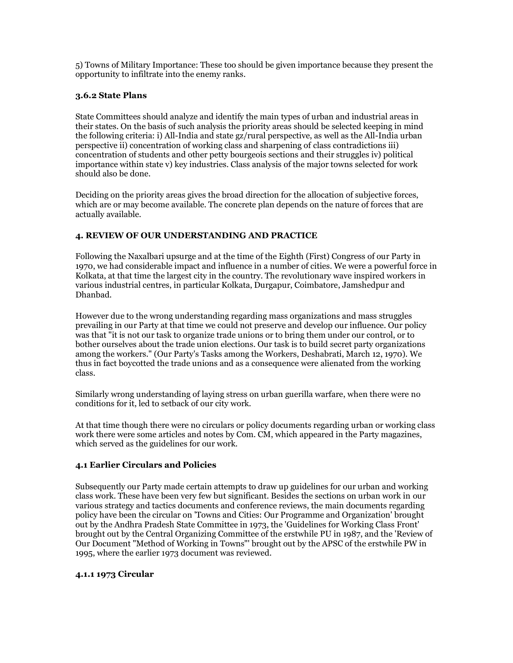5) Towns of Military Importance: These too should be given importance because they present the opportunity to infiltrate into the enemy ranks.

# **3.6.2 State Plans**

State Committees should analyze and identify the main types of urban and industrial areas in their states. On the basis of such analysis the priority areas should be selected keeping in mind the following criteria: i) All-India and state gz/rural perspective, as well as the All-India urban perspective ii) concentration of working class and sharpening of class contradictions iii) concentration of students and other petty bourgeois sections and their struggles iv) political importance within state v) key industries. Class analysis of the major towns selected for work should also be done.

Deciding on the priority areas gives the broad direction for the allocation of subjective forces, which are or may become available. The concrete plan depends on the nature of forces that are actually available.

# **4. REVIEW OF OUR UNDERSTANDING AND PRACTICE**

Following the Naxalbari upsurge and at the time of the Eighth (First) Congress of our Party in 1970, we had considerable impact and influence in a number of cities. We were a powerful force in Kolkata, at that time the largest city in the country. The revolutionary wave inspired workers in various industrial centres, in particular Kolkata, Durgapur, Coimbatore, Jamshedpur and Dhanbad.

However due to the wrong understanding regarding mass organizations and mass struggles prevailing in our Party at that time we could not preserve and develop our influence. Our policy was that "it is not our task to organize trade unions or to bring them under our control, or to bother ourselves about the trade union elections. Our task is to build secret party organizations among the workers." (Our Party's Tasks among the Workers, Deshabrati, March 12, 1970). We thus in fact boycotted the trade unions and as a consequence were alienated from the working class.

Similarly wrong understanding of laying stress on urban guerilla warfare, when there were no conditions for it, led to setback of our city work.

At that time though there were no circulars or policy documents regarding urban or working class work there were some articles and notes by Com. CM, which appeared in the Party magazines, which served as the guidelines for our work.

# **4.1 Earlier Circulars and Policies**

Subsequently our Party made certain attempts to draw up guidelines for our urban and working class work. These have been very few but significant. Besides the sections on urban work in our various strategy and tactics documents and conference reviews, the main documents regarding policy have been the circular on 'Towns and Cities: Our Programme and Organization' brought out by the Andhra Pradesh State Committee in 1973, the 'Guidelines for Working Class Front' brought out by the Central Organizing Committee of the erstwhile PU in 1987, and the 'Review of Our Document "Method of Working in Towns"' brought out by the APSC of the erstwhile PW in 1995, where the earlier 1973 document was reviewed.

### **4.1.1 1973 Circular**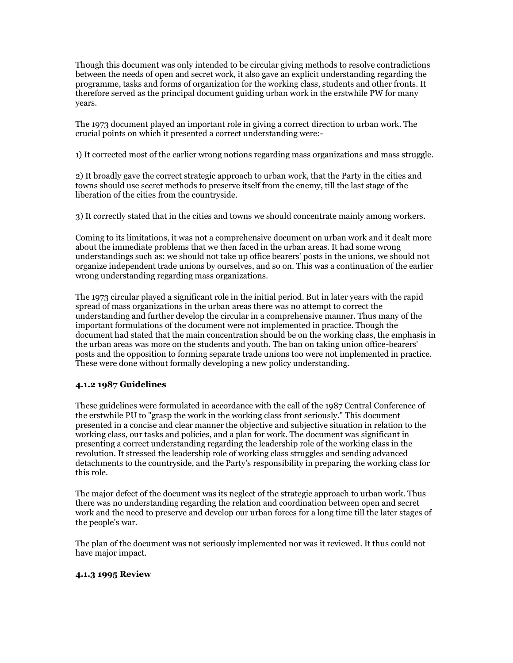Though this document was only intended to be circular giving methods to resolve contradictions between the needs of open and secret work, it also gave an explicit understanding regarding the programme, tasks and forms of organization for the working class, students and other fronts. It therefore served as the principal document guiding urban work in the erstwhile PW for many years.

The 1973 document played an important role in giving a correct direction to urban work. The crucial points on which it presented a correct understanding were:-

1) It corrected most of the earlier wrong notions regarding mass organizations and mass struggle.

2) It broadly gave the correct strategic approach to urban work, that the Party in the cities and towns should use secret methods to preserve itself from the enemy, till the last stage of the liberation of the cities from the countryside.

3) It correctly stated that in the cities and towns we should concentrate mainly among workers.

Coming to its limitations, it was not a comprehensive document on urban work and it dealt more about the immediate problems that we then faced in the urban areas. It had some wrong understandings such as: we should not take up office bearers' posts in the unions, we should not organize independent trade unions by ourselves, and so on. This was a continuation of the earlier wrong understanding regarding mass organizations.

The 1973 circular played a significant role in the initial period. But in later years with the rapid spread of mass organizations in the urban areas there was no attempt to correct the understanding and further develop the circular in a comprehensive manner. Thus many of the important formulations of the document were not implemented in practice. Though the document had stated that the main concentration should be on the working class, the emphasis in the urban areas was more on the students and youth. The ban on taking union office-bearers' posts and the opposition to forming separate trade unions too were not implemented in practice. These were done without formally developing a new policy understanding.

# **4.1.2 1987 Guidelines**

These guidelines were formulated in accordance with the call of the 1987 Central Conference of the erstwhile PU to "grasp the work in the working class front seriously." This document presented in a concise and clear manner the objective and subjective situation in relation to the working class, our tasks and policies, and a plan for work. The document was significant in presenting a correct understanding regarding the leadership role of the working class in the revolution. It stressed the leadership role of working class struggles and sending advanced detachments to the countryside, and the Party's responsibility in preparing the working class for this role.

The major defect of the document was its neglect of the strategic approach to urban work. Thus there was no understanding regarding the relation and coordination between open and secret work and the need to preserve and develop our urban forces for a long time till the later stages of the people's war.

The plan of the document was not seriously implemented nor was it reviewed. It thus could not have major impact.

# **4.1.3 1995 Review**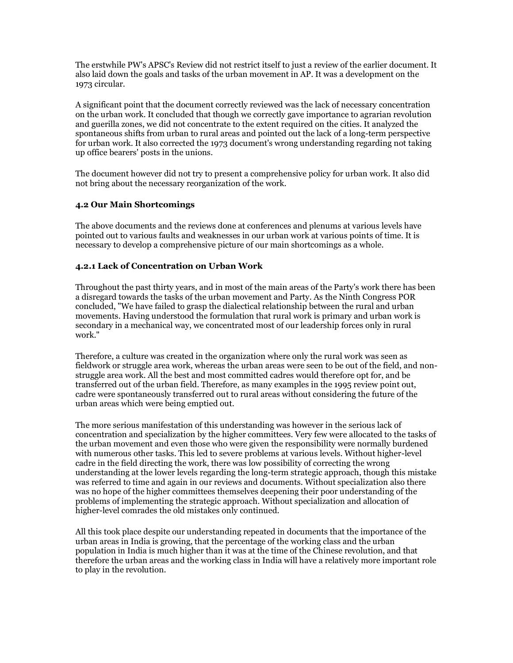The erstwhile PW's APSC's Review did not restrict itself to just a review of the earlier document. It also laid down the goals and tasks of the urban movement in AP. It was a development on the 1973 circular.

A significant point that the document correctly reviewed was the lack of necessary concentration on the urban work. It concluded that though we correctly gave importance to agrarian revolution and guerilla zones, we did not concentrate to the extent required on the cities. It analyzed the spontaneous shifts from urban to rural areas and pointed out the lack of a long-term perspective for urban work. It also corrected the 1973 document's wrong understanding regarding not taking up office bearers' posts in the unions.

The document however did not try to present a comprehensive policy for urban work. It also did not bring about the necessary reorganization of the work.

# **4.2 Our Main Shortcomings**

The above documents and the reviews done at conferences and plenums at various levels have pointed out to various faults and weaknesses in our urban work at various points of time. It is necessary to develop a comprehensive picture of our main shortcomings as a whole.

# **4.2.1 Lack of Concentration on Urban Work**

Throughout the past thirty years, and in most of the main areas of the Party's work there has been a disregard towards the tasks of the urban movement and Party. As the Ninth Congress POR concluded, "We have failed to grasp the dialectical relationship between the rural and urban movements. Having understood the formulation that rural work is primary and urban work is secondary in a mechanical way, we concentrated most of our leadership forces only in rural work."

Therefore, a culture was created in the organization where only the rural work was seen as fieldwork or struggle area work, whereas the urban areas were seen to be out of the field, and nonstruggle area work. All the best and most committed cadres would therefore opt for, and be transferred out of the urban field. Therefore, as many examples in the 1995 review point out, cadre were spontaneously transferred out to rural areas without considering the future of the urban areas which were being emptied out.

The more serious manifestation of this understanding was however in the serious lack of concentration and specialization by the higher committees. Very few were allocated to the tasks of the urban movement and even those who were given the responsibility were normally burdened with numerous other tasks. This led to severe problems at various levels. Without higher-level cadre in the field directing the work, there was low possibility of correcting the wrong understanding at the lower levels regarding the long-term strategic approach, though this mistake was referred to time and again in our reviews and documents. Without specialization also there was no hope of the higher committees themselves deepening their poor understanding of the problems of implementing the strategic approach. Without specialization and allocation of higher-level comrades the old mistakes only continued.

All this took place despite our understanding repeated in documents that the importance of the urban areas in India is growing, that the percentage of the working class and the urban population in India is much higher than it was at the time of the Chinese revolution, and that therefore the urban areas and the working class in India will have a relatively more important role to play in the revolution.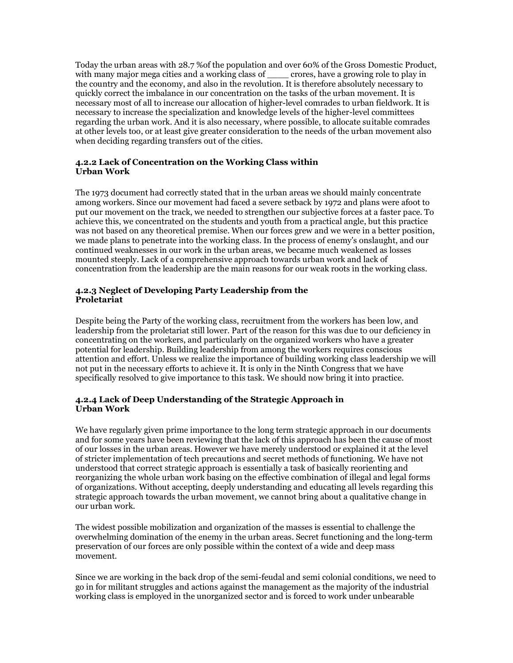Today the urban areas with 28.7 %of the population and over 60% of the Gross Domestic Product, with many major mega cities and a working class of crores, have a growing role to play in the country and the economy, and also in the revolution. It is therefore absolutely necessary to quickly correct the imbalance in our concentration on the tasks of the urban movement. It is necessary most of all to increase our allocation of higher-level comrades to urban fieldwork. It is necessary to increase the specialization and knowledge levels of the higher-level committees regarding the urban work. And it is also necessary, where possible, to allocate suitable comrades at other levels too, or at least give greater consideration to the needs of the urban movement also when deciding regarding transfers out of the cities.

### **4.2.2 Lack of Concentration on the Working Class within Urban Work**

The 1973 document had correctly stated that in the urban areas we should mainly concentrate among workers. Since our movement had faced a severe setback by 1972 and plans were afoot to put our movement on the track, we needed to strengthen our subjective forces at a faster pace. To achieve this, we concentrated on the students and youth from a practical angle, but this practice was not based on any theoretical premise. When our forces grew and we were in a better position, we made plans to penetrate into the working class. In the process of enemy's onslaught, and our continued weaknesses in our work in the urban areas, we became much weakened as losses mounted steeply. Lack of a comprehensive approach towards urban work and lack of concentration from the leadership are the main reasons for our weak roots in the working class.

# **4.2.3 Neglect of Developing Party Leadership from the Proletariat**

Despite being the Party of the working class, recruitment from the workers has been low, and leadership from the proletariat still lower. Part of the reason for this was due to our deficiency in concentrating on the workers, and particularly on the organized workers who have a greater potential for leadership. Building leadership from among the workers requires conscious attention and effort. Unless we realize the importance of building working class leadership we will not put in the necessary efforts to achieve it. It is only in the Ninth Congress that we have specifically resolved to give importance to this task. We should now bring it into practice.

# **4.2.4 Lack of Deep Understanding of the Strategic Approach in Urban Work**

We have regularly given prime importance to the long term strategic approach in our documents and for some years have been reviewing that the lack of this approach has been the cause of most of our losses in the urban areas. However we have merely understood or explained it at the level of stricter implementation of tech precautions and secret methods of functioning. We have not understood that correct strategic approach is essentially a task of basically reorienting and reorganizing the whole urban work basing on the effective combination of illegal and legal forms of organizations. Without accepting, deeply understanding and educating all levels regarding this strategic approach towards the urban movement, we cannot bring about a qualitative change in our urban work.

The widest possible mobilization and organization of the masses is essential to challenge the overwhelming domination of the enemy in the urban areas. Secret functioning and the long-term preservation of our forces are only possible within the context of a wide and deep mass movement.

Since we are working in the back drop of the semi-feudal and semi colonial conditions, we need to go in for militant struggles and actions against the management as the majority of the industrial working class is employed in the unorganized sector and is forced to work under unbearable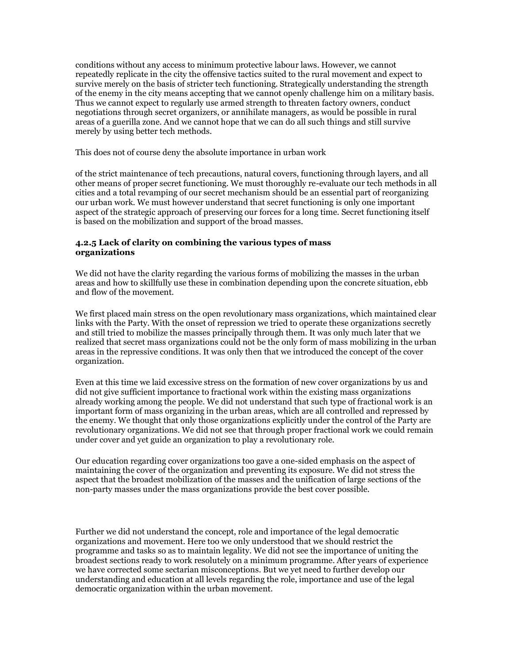conditions without any access to minimum protective labour laws. However, we cannot repeatedly replicate in the city the offensive tactics suited to the rural movement and expect to survive merely on the basis of stricter tech functioning. Strategically understanding the strength of the enemy in the city means accepting that we cannot openly challenge him on a military basis. Thus we cannot expect to regularly use armed strength to threaten factory owners, conduct negotiations through secret organizers, or annihilate managers, as would be possible in rural areas of a guerilla zone. And we cannot hope that we can do all such things and still survive merely by using better tech methods.

This does not of course deny the absolute importance in urban work

of the strict maintenance of tech precautions, natural covers, functioning through layers, and all other means of proper secret functioning. We must thoroughly re-evaluate our tech methods in all cities and a total revamping of our secret mechanism should be an essential part of reorganizing our urban work. We must however understand that secret functioning is only one important aspect of the strategic approach of preserving our forces for a long time. Secret functioning itself is based on the mobilization and support of the broad masses.

### **4.2.5 Lack of clarity on combining the various types of mass organizations**

We did not have the clarity regarding the various forms of mobilizing the masses in the urban areas and how to skillfully use these in combination depending upon the concrete situation, ebb and flow of the movement.

We first placed main stress on the open revolutionary mass organizations, which maintained clear links with the Party. With the onset of repression we tried to operate these organizations secretly and still tried to mobilize the masses principally through them. It was only much later that we realized that secret mass organizations could not be the only form of mass mobilizing in the urban areas in the repressive conditions. It was only then that we introduced the concept of the cover organization.

Even at this time we laid excessive stress on the formation of new cover organizations by us and did not give sufficient importance to fractional work within the existing mass organizations already working among the people. We did not understand that such type of fractional work is an important form of mass organizing in the urban areas, which are all controlled and repressed by the enemy. We thought that only those organizations explicitly under the control of the Party are revolutionary organizations. We did not see that through proper fractional work we could remain under cover and yet guide an organization to play a revolutionary role.

Our education regarding cover organizations too gave a one-sided emphasis on the aspect of maintaining the cover of the organization and preventing its exposure. We did not stress the aspect that the broadest mobilization of the masses and the unification of large sections of the non-party masses under the mass organizations provide the best cover possible.

Further we did not understand the concept, role and importance of the legal democratic organizations and movement. Here too we only understood that we should restrict the programme and tasks so as to maintain legality. We did not see the importance of uniting the broadest sections ready to work resolutely on a minimum programme. After years of experience we have corrected some sectarian misconceptions. But we yet need to further develop our understanding and education at all levels regarding the role, importance and use of the legal democratic organization within the urban movement.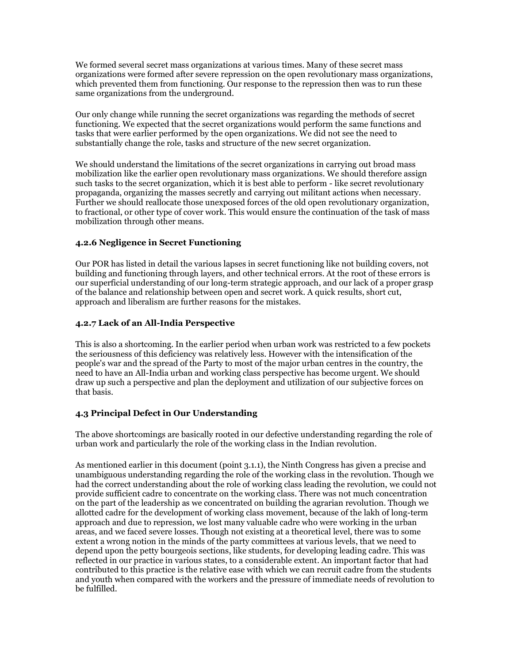We formed several secret mass organizations at various times. Many of these secret mass organizations were formed after severe repression on the open revolutionary mass organizations, which prevented them from functioning. Our response to the repression then was to run these same organizations from the underground.

Our only change while running the secret organizations was regarding the methods of secret functioning. We expected that the secret organizations would perform the same functions and tasks that were earlier performed by the open organizations. We did not see the need to substantially change the role, tasks and structure of the new secret organization.

We should understand the limitations of the secret organizations in carrying out broad mass mobilization like the earlier open revolutionary mass organizations. We should therefore assign such tasks to the secret organization, which it is best able to perform - like secret revolutionary propaganda, organizing the masses secretly and carrying out militant actions when necessary. Further we should reallocate those unexposed forces of the old open revolutionary organization, to fractional, or other type of cover work. This would ensure the continuation of the task of mass mobilization through other means.

# **4.2.6 Negligence in Secret Functioning**

Our POR has listed in detail the various lapses in secret functioning like not building covers, not building and functioning through layers, and other technical errors. At the root of these errors is our superficial understanding of our long-term strategic approach, and our lack of a proper grasp of the balance and relationship between open and secret work. A quick results, short cut, approach and liberalism are further reasons for the mistakes.

# **4.2.7 Lack of an All-India Perspective**

This is also a shortcoming. In the earlier period when urban work was restricted to a few pockets the seriousness of this deficiency was relatively less. However with the intensification of the people's war and the spread of the Party to most of the major urban centres in the country, the need to have an All-India urban and working class perspective has become urgent. We should draw up such a perspective and plan the deployment and utilization of our subjective forces on that basis.

### **4.3 Principal Defect in Our Understanding**

The above shortcomings are basically rooted in our defective understanding regarding the role of urban work and particularly the role of the working class in the Indian revolution.

As mentioned earlier in this document (point 3.1.1), the Ninth Congress has given a precise and unambiguous understanding regarding the role of the working class in the revolution. Though we had the correct understanding about the role of working class leading the revolution, we could not provide sufficient cadre to concentrate on the working class. There was not much concentration on the part of the leadership as we concentrated on building the agrarian revolution. Though we allotted cadre for the development of working class movement, because of the lakh of long-term approach and due to repression, we lost many valuable cadre who were working in the urban areas, and we faced severe losses. Though not existing at a theoretical level, there was to some extent a wrong notion in the minds of the party committees at various levels, that we need to depend upon the petty bourgeois sections, like students, for developing leading cadre. This was reflected in our practice in various states, to a considerable extent. An important factor that had contributed to this practice is the relative ease with which we can recruit cadre from the students and youth when compared with the workers and the pressure of immediate needs of revolution to be fulfilled.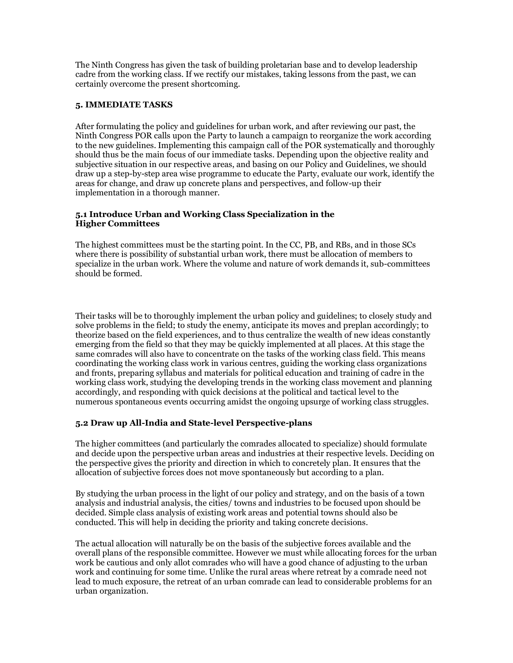The Ninth Congress has given the task of building proletarian base and to develop leadership cadre from the working class. If we rectify our mistakes, taking lessons from the past, we can certainly overcome the present shortcoming.

# **5. IMMEDIATE TASKS**

After formulating the policy and guidelines for urban work, and after reviewing our past, the Ninth Congress POR calls upon the Party to launch a campaign to reorganize the work according to the new guidelines. Implementing this campaign call of the POR systematically and thoroughly should thus be the main focus of our immediate tasks. Depending upon the objective reality and subjective situation in our respective areas, and basing on our Policy and Guidelines, we should draw up a step-by-step area wise programme to educate the Party, evaluate our work, identify the areas for change, and draw up concrete plans and perspectives, and follow-up their implementation in a thorough manner.

# **5.1 Introduce Urban and Working Class Specialization in the Higher Committees**

The highest committees must be the starting point. In the CC, PB, and RBs, and in those SCs where there is possibility of substantial urban work, there must be allocation of members to specialize in the urban work. Where the volume and nature of work demands it, sub-committees should be formed.

Their tasks will be to thoroughly implement the urban policy and guidelines; to closely study and solve problems in the field; to study the enemy, anticipate its moves and preplan accordingly; to theorize based on the field experiences, and to thus centralize the wealth of new ideas constantly emerging from the field so that they may be quickly implemented at all places. At this stage the same comrades will also have to concentrate on the tasks of the working class field. This means coordinating the working class work in various centres, guiding the working class organizations and fronts, preparing syllabus and materials for political education and training of cadre in the working class work, studying the developing trends in the working class movement and planning accordingly, and responding with quick decisions at the political and tactical level to the numerous spontaneous events occurring amidst the ongoing upsurge of working class struggles.

### **5.2 Draw up All-India and State-level Perspective-plans**

The higher committees (and particularly the comrades allocated to specialize) should formulate and decide upon the perspective urban areas and industries at their respective levels. Deciding on the perspective gives the priority and direction in which to concretely plan. It ensures that the allocation of subjective forces does not move spontaneously but according to a plan.

By studying the urban process in the light of our policy and strategy, and on the basis of a town analysis and industrial analysis, the cities/ towns and industries to be focused upon should be decided. Simple class analysis of existing work areas and potential towns should also be conducted. This will help in deciding the priority and taking concrete decisions.

The actual allocation will naturally be on the basis of the subjective forces available and the overall plans of the responsible committee. However we must while allocating forces for the urban work be cautious and only allot comrades who will have a good chance of adjusting to the urban work and continuing for some time. Unlike the rural areas where retreat by a comrade need not lead to much exposure, the retreat of an urban comrade can lead to considerable problems for an urban organization.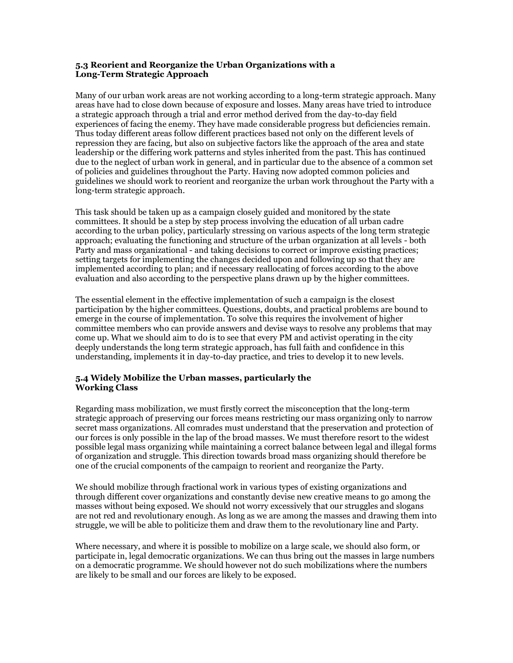### **5.3 Reorient and Reorganize the Urban Organizations with a Long-Term Strategic Approach**

Many of our urban work areas are not working according to a long-term strategic approach. Many areas have had to close down because of exposure and losses. Many areas have tried to introduce a strategic approach through a trial and error method derived from the day-to-day field experiences of facing the enemy. They have made considerable progress but deficiencies remain. Thus today different areas follow different practices based not only on the different levels of repression they are facing, but also on subjective factors like the approach of the area and state leadership or the differing work patterns and styles inherited from the past. This has continued due to the neglect of urban work in general, and in particular due to the absence of a common set of policies and guidelines throughout the Party. Having now adopted common policies and guidelines we should work to reorient and reorganize the urban work throughout the Party with a long-term strategic approach.

This task should be taken up as a campaign closely guided and monitored by the state committees. It should be a step by step process involving the education of all urban cadre according to the urban policy, particularly stressing on various aspects of the long term strategic approach; evaluating the functioning and structure of the urban organization at all levels - both Party and mass organizational - and taking decisions to correct or improve existing practices; setting targets for implementing the changes decided upon and following up so that they are implemented according to plan; and if necessary reallocating of forces according to the above evaluation and also according to the perspective plans drawn up by the higher committees.

The essential element in the effective implementation of such a campaign is the closest participation by the higher committees. Questions, doubts, and practical problems are bound to emerge in the course of implementation. To solve this requires the involvement of higher committee members who can provide answers and devise ways to resolve any problems that may come up. What we should aim to do is to see that every PM and activist operating in the city deeply understands the long term strategic approach, has full faith and confidence in this understanding, implements it in day-to-day practice, and tries to develop it to new levels.

# **5.4 Widely Mobilize the Urban masses, particularly the Working Class**

Regarding mass mobilization, we must firstly correct the misconception that the long-term strategic approach of preserving our forces means restricting our mass organizing only to narrow secret mass organizations. All comrades must understand that the preservation and protection of our forces is only possible in the lap of the broad masses. We must therefore resort to the widest possible legal mass organizing while maintaining a correct balance between legal and illegal forms of organization and struggle. This direction towards broad mass organizing should therefore be one of the crucial components of the campaign to reorient and reorganize the Party.

We should mobilize through fractional work in various types of existing organizations and through different cover organizations and constantly devise new creative means to go among the masses without being exposed. We should not worry excessively that our struggles and slogans are not red and revolutionary enough. As long as we are among the masses and drawing them into struggle, we will be able to politicize them and draw them to the revolutionary line and Party.

Where necessary, and where it is possible to mobilize on a large scale, we should also form, or participate in, legal democratic organizations. We can thus bring out the masses in large numbers on a democratic programme. We should however not do such mobilizations where the numbers are likely to be small and our forces are likely to be exposed.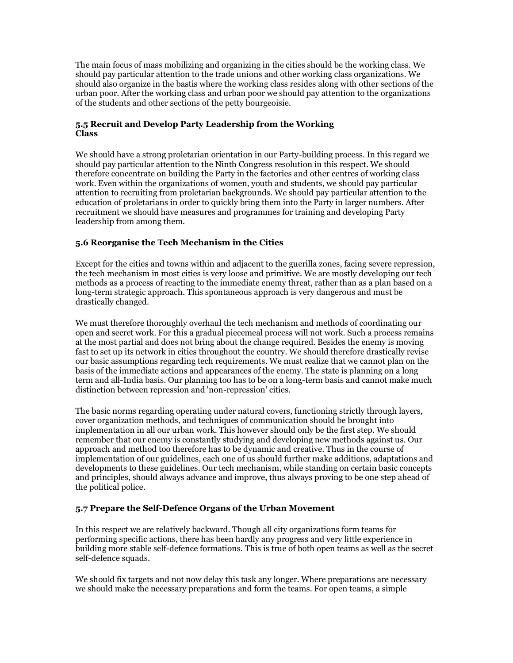The main focus of mass mobilizing and organizing in the cities should be the working class. We should pay particular attention to the trade unions and other working class organizations. We should also organize in the bastis where the working class resides along with other sections of the urban poor. After the working class and urban poor we should pay attention to the organizations of the students and other sections of the petty bourgeoisie.

# **5.5 Recruit and Develop Party Leadership from the Working Class**

We should have a strong proletarian orientation in our Party-building process. In this regard we should pay particular attention to the Ninth Congress resolution in this respect. We should therefore concentrate on building the Party in the factories and other centres of working class work. Even within the organizations of women, youth and students, we should pay particular attention to recruiting from proletarian backgrounds. We should pay particular attention to the education of proletarians in order to quickly bring them into the Party in larger numbers. After recruitment we should have measures and programmes for training and developing Party leadership from among them.

# **5.6 Reorganise the Tech Mechanism in the Cities**

Except for the cities and towns within and adjacent to the guerilla zones, facing severe repression, the tech mechanism in most cities is very loose and primitive. We are mostly developing our tech methods as a process of reacting to the immediate enemy threat, rather than as a plan based on a long-term strategic approach. This spontaneous approach is very dangerous and must be drastically changed.

We must therefore thoroughly overhaul the tech mechanism and methods of coordinating our open and secret work. For this a gradual piecemeal process will not work. Such a process remains at the most partial and does not bring about the change required. Besides the enemy is moving fast to set up its network in cities throughout the country. We should therefore drastically revise our basic assumptions regarding tech requirements. We must realize that we cannot plan on the basis of the immediate actions and appearances of the enemy. The state is planning on a long term and all-India basis. Our planning too has to be on a long-term basis and cannot make much distinction between repression and 'non-repression' cities.

The basic norms regarding operating under natural covers, functioning strictly through layers, cover organization methods, and techniques of communication should be brought into implementation in all our urban work. This however should only be the first step. We should remember that our enemy is constantly studying and developing new methods against us. Our approach and method too therefore has to be dynamic and creative. Thus in the course of implementation of our guidelines, each one of us should further make additions, adaptations and developments to these guidelines. Our tech mechanism, while standing on certain basic concepts and principles, should always advance and improve, thus always proving to be one step ahead of the political police.

# **5.7 Prepare the Self-Defence Organs of the Urban Movement**

In this respect we are relatively backward. Though all city organizations form teams for performing specific actions, there has been hardly any progress and very little experience in building more stable self-defence formations. This is true of both open teams as well as the secret self-defence squads.

We should fix targets and not now delay this task any longer. Where preparations are necessary we should make the necessary preparations and form the teams. For open teams, a simple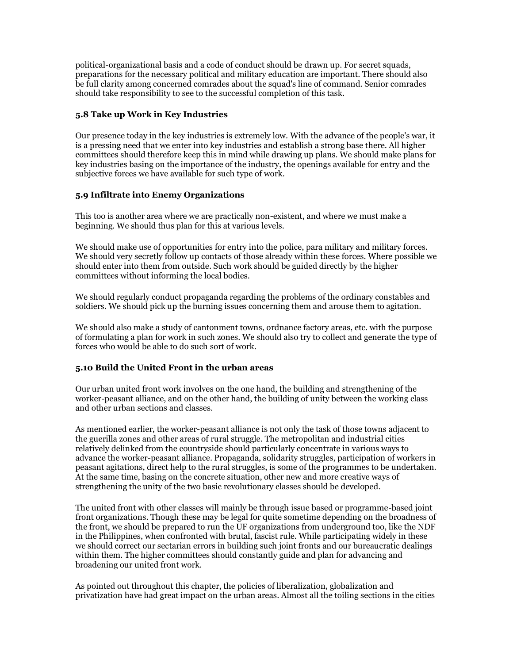political-organizational basis and a code of conduct should be drawn up. For secret squads, preparations for the necessary political and military education are important. There should also be full clarity among concerned comrades about the squad's line of command. Senior comrades should take responsibility to see to the successful completion of this task.

# **5.8 Take up Work in Key Industries**

Our presence today in the key industries is extremely low. With the advance of the people's war, it is a pressing need that we enter into key industries and establish a strong base there. All higher committees should therefore keep this in mind while drawing up plans. We should make plans for key industries basing on the importance of the industry, the openings available for entry and the subjective forces we have available for such type of work.

# **5.9 Infiltrate into Enemy Organizations**

This too is another area where we are practically non-existent, and where we must make a beginning. We should thus plan for this at various levels.

We should make use of opportunities for entry into the police, para military and military forces. We should very secretly follow up contacts of those already within these forces. Where possible we should enter into them from outside. Such work should be guided directly by the higher committees without informing the local bodies.

We should regularly conduct propaganda regarding the problems of the ordinary constables and soldiers. We should pick up the burning issues concerning them and arouse them to agitation.

We should also make a study of cantonment towns, ordnance factory areas, etc. with the purpose of formulating a plan for work in such zones. We should also try to collect and generate the type of forces who would be able to do such sort of work.

# **5.10 Build the United Front in the urban areas**

Our urban united front work involves on the one hand, the building and strengthening of the worker-peasant alliance, and on the other hand, the building of unity between the working class and other urban sections and classes.

As mentioned earlier, the worker-peasant alliance is not only the task of those towns adjacent to the guerilla zones and other areas of rural struggle. The metropolitan and industrial cities relatively delinked from the countryside should particularly concentrate in various ways to advance the worker-peasant alliance. Propaganda, solidarity struggles, participation of workers in peasant agitations, direct help to the rural struggles, is some of the programmes to be undertaken. At the same time, basing on the concrete situation, other new and more creative ways of strengthening the unity of the two basic revolutionary classes should be developed.

The united front with other classes will mainly be through issue based or programme-based joint front organizations. Though these may be legal for quite sometime depending on the broadness of the front, we should be prepared to run the UF organizations from underground too, like the NDF in the Philippines, when confronted with brutal, fascist rule. While participating widely in these we should correct our sectarian errors in building such joint fronts and our bureaucratic dealings within them. The higher committees should constantly guide and plan for advancing and broadening our united front work.

As pointed out throughout this chapter, the policies of liberalization, globalization and privatization have had great impact on the urban areas. Almost all the toiling sections in the cities